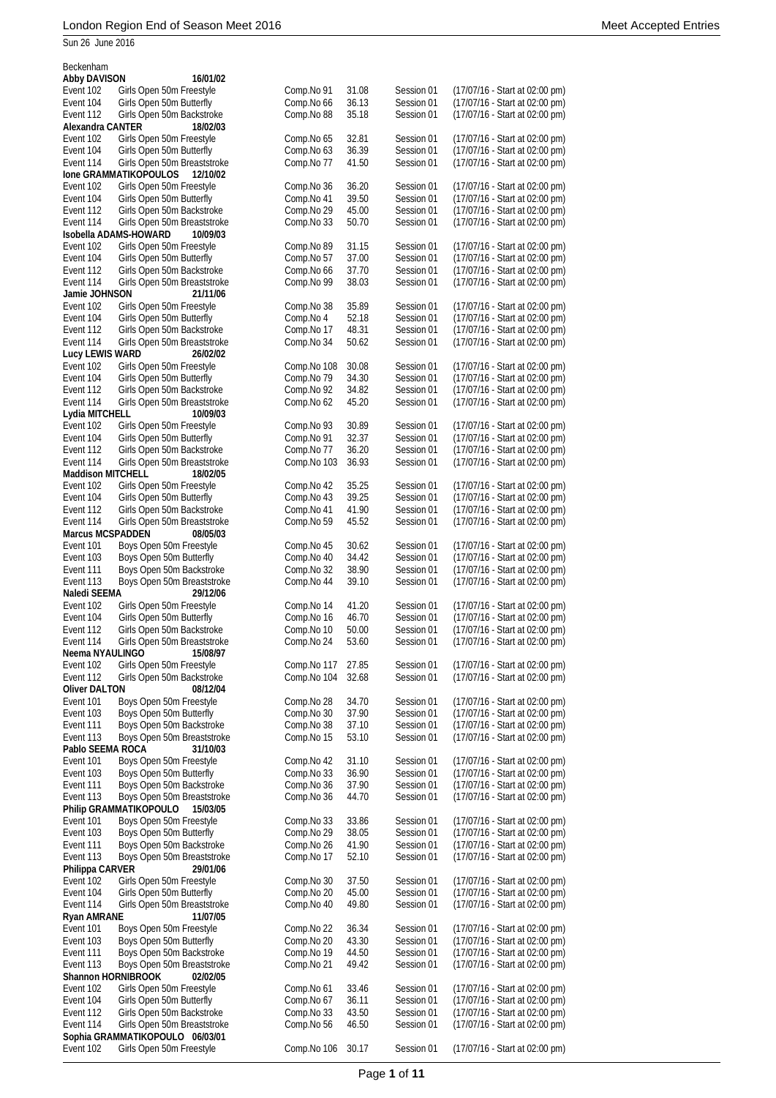Sun 26 June 2016

| Beckenham                |                                                             |                          |                |                          |                                                                  |
|--------------------------|-------------------------------------------------------------|--------------------------|----------------|--------------------------|------------------------------------------------------------------|
| Abby DAVISON             | 16/01/02                                                    |                          |                |                          |                                                                  |
| Event 102                | Girls Open 50m Freestyle                                    | Comp.No 91               | 31.08          | Session 01               | (17/07/16 - Start at 02:00 pm)                                   |
| Event 104                | Girls Open 50m Butterfly                                    | Comp.No 66               | 36.13          | Session 01               | (17/07/16 - Start at 02:00 pm)                                   |
| Event 112                | Girls Open 50m Backstroke                                   | Comp.No 88               | 35.18          | Session 01               | (17/07/16 - Start at 02:00 pm)                                   |
| Alexandra CANTER         | 18/02/03                                                    |                          |                |                          |                                                                  |
| Event 102                | Girls Open 50m Freestyle                                    | Comp.No 65               | 32.81          | Session 01               | (17/07/16 - Start at 02:00 pm)                                   |
| Event 104<br>Event 114   | Girls Open 50m Butterfly<br>Girls Open 50m Breaststroke     | Comp.No 63<br>Comp.No 77 | 36.39<br>41.50 | Session 01<br>Session 01 | (17/07/16 - Start at 02:00 pm)<br>(17/07/16 - Start at 02:00 pm) |
|                          | Ione GRAMMATIKOPOULOS<br>12/10/02                           |                          |                |                          |                                                                  |
| Event 102                | Girls Open 50m Freestyle                                    | Comp.No 36               | 36.20          | Session 01               | (17/07/16 - Start at 02:00 pm)                                   |
| Event 104                | Girls Open 50m Butterfly                                    | Comp.No 41               | 39.50          | Session 01               | (17/07/16 - Start at 02:00 pm)                                   |
| Event 112                | Girls Open 50m Backstroke                                   | Comp.No 29               | 45.00          | Session 01               | (17/07/16 - Start at 02:00 pm)                                   |
| Event 114                | Girls Open 50m Breaststroke                                 | Comp.No 33               | 50.70          | Session 01               | (17/07/16 - Start at 02:00 pm)                                   |
|                          | Isobella ADAMS-HOWARD<br>10/09/03                           |                          |                |                          |                                                                  |
| Event 102                | Girls Open 50m Freestyle                                    | Comp.No 89               | 31.15          | Session 01               | (17/07/16 - Start at 02:00 pm)                                   |
| Event 104                | Girls Open 50m Butterfly                                    | Comp.No 57               | 37.00          | Session 01               | (17/07/16 - Start at 02:00 pm)                                   |
| Event 112                | Girls Open 50m Backstroke                                   | Comp.No 66               | 37.70          | Session 01               | (17/07/16 - Start at 02:00 pm)                                   |
| Event 114                | Girls Open 50m Breaststroke                                 | Comp.No 99               | 38.03          | Session 01               | (17/07/16 - Start at 02:00 pm)                                   |
| Jamie JOHNSON            | 21/11/06                                                    |                          |                |                          |                                                                  |
| Event 102                | Girls Open 50m Freestyle                                    | Comp.No 38               | 35.89          | Session 01               | (17/07/16 - Start at 02:00 pm)                                   |
| Event 104                | Girls Open 50m Butterfly                                    | Comp.No 4                | 52.18          | Session 01               | (17/07/16 - Start at 02:00 pm)                                   |
| Event 112                | Girls Open 50m Backstroke                                   | Comp.No 17               | 48.31          | Session 01               | (17/07/16 - Start at 02:00 pm)                                   |
| Event 114                | Girls Open 50m Breaststroke                                 | Comp.No 34               | 50.62          | Session 01               | (17/07/16 - Start at 02:00 pm)                                   |
| Lucy LEWIS WARD          | 26/02/02                                                    |                          |                |                          |                                                                  |
| Event 102                | Girls Open 50m Freestyle                                    | Comp.No 108              | 30.08          | Session 01               | (17/07/16 - Start at 02:00 pm)                                   |
| Event 104                | Girls Open 50m Butterfly                                    | Comp.No 79               | 34.30          | Session 01               | (17/07/16 - Start at 02:00 pm)                                   |
| Event 112                | Girls Open 50m Backstroke                                   | Comp.No 92               | 34.82          | Session 01               | (17/07/16 - Start at 02:00 pm)                                   |
| Event 114                | Girls Open 50m Breaststroke                                 | Comp.No 62               | 45.20          | Session 01               | (17/07/16 - Start at 02:00 pm)                                   |
| Lydia MITCHELL           | 10/09/03                                                    |                          |                |                          |                                                                  |
| Event 102                | Girls Open 50m Freestyle                                    | Comp.No 93               | 30.89          | Session 01               | (17/07/16 - Start at 02:00 pm)                                   |
| Event 104                | Girls Open 50m Butterfly                                    | Comp.No 91               | 32.37          | Session 01               | (17/07/16 - Start at 02:00 pm)                                   |
| Event 112                | Girls Open 50m Backstroke                                   | Comp.No 77               | 36.20          | Session 01               | (17/07/16 - Start at 02:00 pm)                                   |
| Event 114                | Girls Open 50m Breaststroke                                 | Comp.No 103              | 36.93          | Session 01               | (17/07/16 - Start at 02:00 pm)                                   |
| <b>Maddison MITCHELL</b> | 18/02/05                                                    |                          |                |                          |                                                                  |
| Event 102                | Girls Open 50m Freestyle                                    | Comp.No 42               | 35.25          | Session 01               | (17/07/16 - Start at 02:00 pm)                                   |
| Event 104                | Girls Open 50m Butterfly                                    | Comp.No 43               | 39.25          | Session 01               | (17/07/16 - Start at 02:00 pm)                                   |
| Event 112                | Girls Open 50m Backstroke                                   | Comp.No 41               | 41.90          | Session 01               | (17/07/16 - Start at 02:00 pm)                                   |
| Event 114                | Girls Open 50m Breaststroke                                 | Comp.No 59               | 45.52          | Session 01               | (17/07/16 - Start at 02:00 pm)                                   |
| <b>Marcus MCSPADDEN</b>  | 08/05/03                                                    |                          |                |                          |                                                                  |
| Event 101                | Boys Open 50m Freestyle                                     | Comp.No 45               | 30.62          | Session 01               | (17/07/16 - Start at 02:00 pm)                                   |
| Event 103                | Boys Open 50m Butterfly<br>Boys Open 50m Backstroke         | Comp.No 40               | 34.42          | Session 01               | (17/07/16 - Start at 02:00 pm)                                   |
| Event 111<br>Event 113   | Boys Open 50m Breaststroke                                  | Comp.No 32<br>Comp.No 44 | 38.90<br>39.10 | Session 01<br>Session 01 | (17/07/16 - Start at 02:00 pm)<br>(17/07/16 - Start at 02:00 pm) |
| Naledi SEEMA             | 29/12/06                                                    |                          |                |                          |                                                                  |
| Event 102                | Girls Open 50m Freestyle                                    | Comp.No 14               | 41.20          | Session 01               | (17/07/16 - Start at 02:00 pm)                                   |
| Event 104                | Girls Open 50m Butterfly                                    | Comp.No 16               | 46.70          | Session 01               | (17/07/16 - Start at 02:00 pm)                                   |
| Event 112                | Girls Open 50m Backstroke                                   | Comp.No 10               | 50.00          | Session 01               | (17/07/16 - Start at 02:00 pm)                                   |
| Event 114                | Girls Open 50m Breaststroke                                 | Comp.No 24               | 53.60          | Session 01               | (17/07/16 - Start at 02:00 pm)                                   |
| Neema NYAULINGO          | 15/08/97                                                    |                          |                |                          |                                                                  |
| Event 102                | Girls Open 50m Freestyle                                    | Comp.No 117              | 27.85          | Session 01               | (17/07/16 - Start at 02:00 pm)                                   |
| Event 112                | Girls Open 50m Backstroke                                   | Comp.No 104              | 32.68          | Session 01               | (17/07/16 - Start at 02:00 pm)                                   |
| Oliver DALTON            | 08/12/04                                                    |                          |                |                          |                                                                  |
| Event 101                | Boys Open 50m Freestyle                                     | Comp.No 28               | 34.70          | Session 01               | (17/07/16 - Start at 02:00 pm)                                   |
| Event 103                | Boys Open 50m Butterfly                                     | Comp.No 30               | 37.90          | Session 01               | (17/07/16 - Start at 02:00 pm)                                   |
| Event 111                | Boys Open 50m Backstroke                                    | Comp.No 38               | 37.10          | Session 01               | (17/07/16 - Start at 02:00 pm)                                   |
| Event 113                | Boys Open 50m Breaststroke                                  | Comp.No 15               | 53.10          | Session 01               | (17/07/16 - Start at 02:00 pm)                                   |
| Pablo SEEMA ROCA         | 31/10/03                                                    |                          |                |                          |                                                                  |
| Event 101                | Boys Open 50m Freestyle                                     | Comp.No 42               | 31.10          | Session 01               | (17/07/16 - Start at 02:00 pm)                                   |
| Event 103                | Boys Open 50m Butterfly                                     | Comp.No 33               | 36.90          | Session 01               | (17/07/16 - Start at 02:00 pm)                                   |
| Event 111                | Boys Open 50m Backstroke                                    | Comp.No 36               | 37.90          | Session 01               | (17/07/16 - Start at 02:00 pm)                                   |
| Event 113                | Boys Open 50m Breaststroke                                  | Comp.No 36               | 44.70          | Session 01               | (17/07/16 - Start at 02:00 pm)                                   |
|                          | Philip GRAMMATIKOPOULO<br>15/03/05                          |                          |                |                          |                                                                  |
| Event 101                | Boys Open 50m Freestyle                                     | Comp.No 33               | 33.86          | Session 01               | (17/07/16 - Start at 02:00 pm)                                   |
| Event 103                | Boys Open 50m Butterfly                                     | Comp.No 29               | 38.05          | Session 01               | (17/07/16 - Start at 02:00 pm)                                   |
| Event 111                | Boys Open 50m Backstroke                                    | Comp.No 26               | 41.90          | Session 01               | (17/07/16 - Start at 02:00 pm)                                   |
| Event 113                | Boys Open 50m Breaststroke                                  | Comp.No 17               | 52.10          | Session 01               | (17/07/16 - Start at 02:00 pm)                                   |
| Philippa CARVER          | 29/01/06                                                    |                          | 37.50          | Session 01               | (17/07/16 - Start at 02:00 pm)                                   |
| Event 102                | Girls Open 50m Freestyle                                    | Comp.No 30               |                |                          |                                                                  |
| Event 104                | Girls Open 50m Butterfly<br>Girls Open 50m Breaststroke     | Comp.No 20<br>Comp.No 40 | 45.00<br>49.80 | Session 01<br>Session 01 | (17/07/16 - Start at 02:00 pm)                                   |
| Event 114<br>Ryan AMRANE | 11/07/05                                                    |                          |                |                          | (17/07/16 - Start at 02:00 pm)                                   |
| Event 101                | Boys Open 50m Freestyle                                     | Comp.No 22               | 36.34          | Session 01               | (17/07/16 - Start at 02:00 pm)                                   |
| Event 103                | Boys Open 50m Butterfly                                     | Comp.No 20               | 43.30          | Session 01               | (17/07/16 - Start at 02:00 pm)                                   |
| Event 111                | Boys Open 50m Backstroke                                    | Comp.No 19               | 44.50          | Session 01               | (17/07/16 - Start at 02:00 pm)                                   |
| Event 113                | Boys Open 50m Breaststroke                                  | Comp.No 21               | 49.42          | Session 01               | (17/07/16 - Start at 02:00 pm)                                   |
| Shannon HORNIBROOK       | 02/02/05                                                    |                          |                |                          |                                                                  |
| Event 102                | Girls Open 50m Freestyle                                    | Comp.No 61               | 33.46          | Session 01               | (17/07/16 - Start at 02:00 pm)                                   |
| Event 104                |                                                             |                          |                |                          | (17/07/16 - Start at 02:00 pm)                                   |
|                          | Girls Open 50m Butterfly                                    | Comp.No 67               | 36.11          | Session 01               |                                                                  |
| Event 112                | Girls Open 50m Backstroke                                   | Comp.No 33               | 43.50          | Session 01               | (17/07/16 - Start at 02:00 pm)                                   |
| Event 114                | Girls Open 50m Breaststroke                                 | Comp.No 56               | 46.50          | Session 01               | (17/07/16 - Start at 02:00 pm)                                   |
| Event 102                | Sophia GRAMMATIKOPOULO 06/03/01<br>Girls Open 50m Freestyle | Comp.No 106              | 30.17          | Session 01               | (17/07/16 - Start at 02:00 pm)                                   |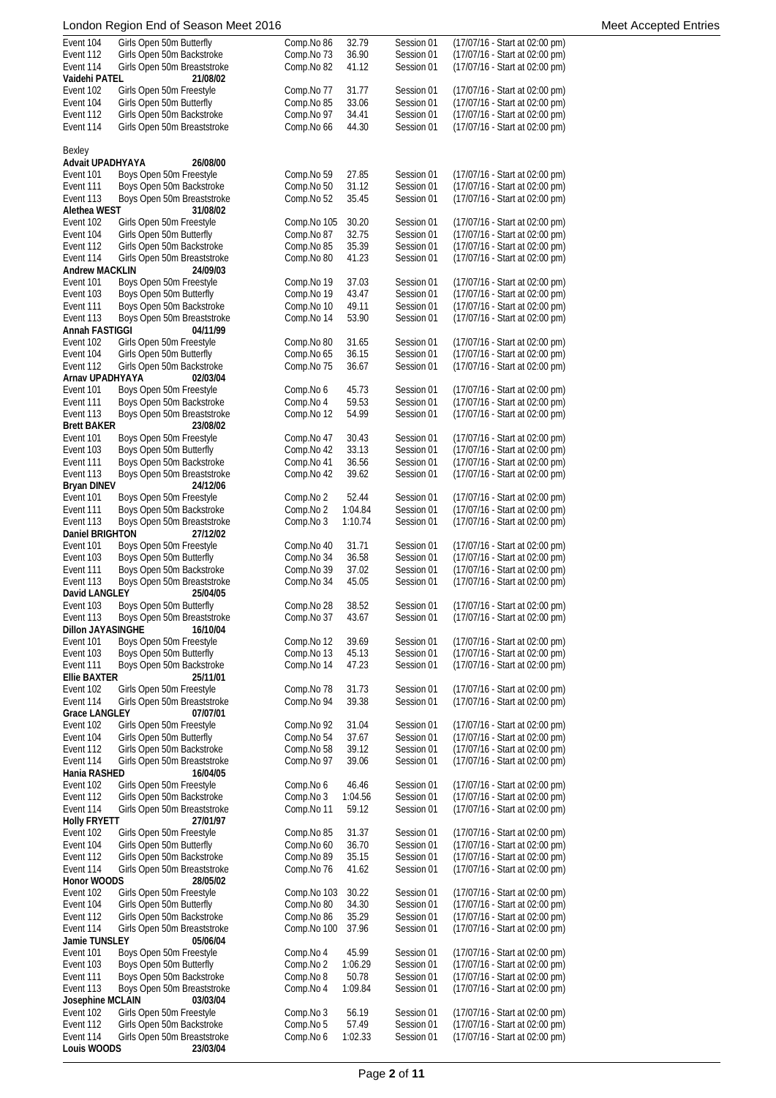| Event 104                | Girls Open 50m Butterfly    | Comp.No 86  | 32.79   | Session 01 | (17/07/16 - Start at 02:00 pm) |
|--------------------------|-----------------------------|-------------|---------|------------|--------------------------------|
| Event 112                | Girls Open 50m Backstroke   | Comp.No 73  | 36.90   | Session 01 | (17/07/16 - Start at 02:00 pm) |
| Event 114                | Girls Open 50m Breaststroke | Comp.No 82  | 41.12   | Session 01 | (17/07/16 - Start at 02:00 pm) |
|                          |                             |             |         |            |                                |
| Vaidehi PATEL            | 21/08/02                    |             |         |            |                                |
| Event 102                | Girls Open 50m Freestyle    | Comp.No 77  | 31.77   | Session 01 | (17/07/16 - Start at 02:00 pm) |
| Event 104                | Girls Open 50m Butterfly    | Comp.No 85  | 33.06   | Session 01 | (17/07/16 - Start at 02:00 pm) |
|                          |                             |             |         |            |                                |
| Event 112                | Girls Open 50m Backstroke   | Comp.No 97  | 34.41   | Session 01 | (17/07/16 - Start at 02:00 pm) |
| Event 114                | Girls Open 50m Breaststroke | Comp.No 66  | 44.30   | Session 01 | (17/07/16 - Start at 02:00 pm) |
|                          |                             |             |         |            |                                |
|                          |                             |             |         |            |                                |
| Bexley                   |                             |             |         |            |                                |
| Advait UPADHYAYA         | 26/08/00                    |             |         |            |                                |
| Event 101                | Boys Open 50m Freestyle     | Comp.No 59  | 27.85   | Session 01 | (17/07/16 - Start at 02:00 pm) |
|                          |                             |             |         |            |                                |
| Event 111                | Boys Open 50m Backstroke    | Comp.No 50  | 31.12   | Session 01 | (17/07/16 - Start at 02:00 pm) |
| Event 113                | Boys Open 50m Breaststroke  | Comp.No 52  | 35.45   | Session 01 | (17/07/16 - Start at 02:00 pm) |
| <b>Alethea WEST</b>      | 31/08/02                    |             |         |            |                                |
|                          |                             |             |         |            |                                |
| Event 102                | Girls Open 50m Freestyle    | Comp.No 105 | 30.20   | Session 01 | (17/07/16 - Start at 02:00 pm) |
| Event 104                | Girls Open 50m Butterfly    | Comp.No 87  | 32.75   | Session 01 | (17/07/16 - Start at 02:00 pm) |
|                          |                             |             |         |            |                                |
| Event 112                | Girls Open 50m Backstroke   | Comp.No 85  | 35.39   | Session 01 | (17/07/16 - Start at 02:00 pm) |
| Event 114                | Girls Open 50m Breaststroke | Comp.No 80  | 41.23   | Session 01 | (17/07/16 - Start at 02:00 pm) |
| <b>Andrew MACKLIN</b>    | 24/09/03                    |             |         |            |                                |
|                          |                             |             |         |            |                                |
| Event 101                | Boys Open 50m Freestyle     | Comp.No 19  | 37.03   | Session 01 | (17/07/16 - Start at 02:00 pm) |
| Event 103                | Boys Open 50m Butterfly     | Comp.No 19  | 43.47   | Session 01 | (17/07/16 - Start at 02:00 pm) |
| Event 111                | Boys Open 50m Backstroke    | Comp.No 10  | 49.11   | Session 01 | (17/07/16 - Start at 02:00 pm) |
|                          |                             |             |         |            |                                |
| Event 113                | Boys Open 50m Breaststroke  | Comp.No 14  | 53.90   | Session 01 | (17/07/16 - Start at 02:00 pm) |
| Annah FASTIGGI           | 04/11/99                    |             |         |            |                                |
| Event 102                | Girls Open 50m Freestyle    | Comp.No 80  | 31.65   | Session 01 | (17/07/16 - Start at 02:00 pm) |
|                          |                             |             |         |            |                                |
| Event 104                | Girls Open 50m Butterfly    | Comp.No 65  | 36.15   | Session 01 | (17/07/16 - Start at 02:00 pm) |
| Event 112                | Girls Open 50m Backstroke   | Comp.No 75  | 36.67   | Session 01 | (17/07/16 - Start at 02:00 pm) |
| Arnav UPADHYAYA          | 02/03/04                    |             |         |            |                                |
|                          |                             |             |         |            |                                |
| Event 101                | Boys Open 50m Freestyle     | Comp.No 6   | 45.73   | Session 01 | (17/07/16 - Start at 02:00 pm) |
| Event 111                | Boys Open 50m Backstroke    | Comp.No 4   | 59.53   | Session 01 | (17/07/16 - Start at 02:00 pm) |
|                          |                             |             |         |            |                                |
| Event 113                | Boys Open 50m Breaststroke  | Comp.No 12  | 54.99   | Session 01 | (17/07/16 - Start at 02:00 pm) |
| <b>Brett BAKER</b>       | 23/08/02                    |             |         |            |                                |
| Event 101                | Boys Open 50m Freestyle     | Comp.No 47  | 30.43   | Session 01 | (17/07/16 - Start at 02:00 pm) |
|                          |                             |             |         |            |                                |
| Event 103                | Boys Open 50m Butterfly     | Comp.No 42  | 33.13   | Session 01 | (17/07/16 - Start at 02:00 pm) |
| Event 111                | Boys Open 50m Backstroke    | Comp.No 41  | 36.56   | Session 01 | (17/07/16 - Start at 02:00 pm) |
| Event 113                | Boys Open 50m Breaststroke  | Comp.No 42  | 39.62   | Session 01 | (17/07/16 - Start at 02:00 pm) |
|                          |                             |             |         |            |                                |
| Bryan DINEV              | 24/12/06                    |             |         |            |                                |
| Event 101                | Boys Open 50m Freestyle     | Comp.No 2   | 52.44   | Session 01 | (17/07/16 - Start at 02:00 pm) |
| Event 111                | Boys Open 50m Backstroke    | Comp.No 2   | 1:04.84 | Session 01 | (17/07/16 - Start at 02:00 pm) |
|                          |                             |             |         |            |                                |
| Event 113                | Boys Open 50m Breaststroke  | Comp.No 3   | 1:10.74 | Session 01 | (17/07/16 - Start at 02:00 pm) |
| Daniel BRIGHTON          | 27/12/02                    |             |         |            |                                |
| Event 101                | Boys Open 50m Freestyle     | Comp.No 40  | 31.71   | Session 01 | (17/07/16 - Start at 02:00 pm) |
|                          |                             |             |         |            |                                |
| Event 103                | Boys Open 50m Butterfly     | Comp.No 34  | 36.58   | Session 01 | (17/07/16 - Start at 02:00 pm) |
| Event 111                | Boys Open 50m Backstroke    | Comp.No 39  | 37.02   | Session 01 | (17/07/16 - Start at 02:00 pm) |
| Event 113                | Boys Open 50m Breaststroke  | Comp.No 34  | 45.05   | Session 01 | (17/07/16 - Start at 02:00 pm) |
|                          |                             |             |         |            |                                |
| David LANGLEY            | 25/04/05                    |             |         |            |                                |
| Event 103                | Boys Open 50m Butterfly     | Comp.No 28  | 38.52   | Session 01 | (17/07/16 - Start at 02:00 pm) |
| Event 113                | Boys Open 50m Breaststroke  | Comp.No 37  | 43.67   | Session 01 | (17/07/16 - Start at 02:00 pm) |
|                          |                             |             |         |            |                                |
| <b>Dillon JAYASINGHE</b> | 16/10/04                    |             |         |            |                                |
| Event 101                | Boys Open 50m Freestyle     | Comp.No 12  | 39.69   | Session 01 | (17/07/16 - Start at 02:00 pm) |
| Event 103                | Boys Open 50m Butterfly     | Comp.No 13  | 45.13   | Session 01 | (17/07/16 - Start at 02:00 pm) |
|                          |                             |             |         |            |                                |
| Event 111                | Boys Open 50m Backstroke    | Comp.No 14  | 47.23   | Session 01 | (17/07/16 - Start at 02:00 pm) |
| <b>Ellie BAXTER</b>      | 25/11/01                    |             |         |            |                                |
| Event 102                | Girls Open 50m Freestyle    | Comp.No 78  | 31.73   | Session 01 | (17/07/16 - Start at 02:00 pm) |
|                          |                             |             |         |            |                                |
| Event 114                | Girls Open 50m Breaststroke | Comp.No 94  | 39.38   | Session 01 | (17/07/16 - Start at 02:00 pm) |
| <b>Grace LANGLEY</b>     | 07/07/01                    |             |         |            |                                |
| Event 102                | Girls Open 50m Freestyle    | Comp.No 92  | 31.04   | Session 01 | (17/07/16 - Start at 02:00 pm) |
|                          |                             |             |         |            |                                |
| Event 104                | Girls Open 50m Butterfly    | Comp.No 54  | 37.67   | Session 01 | (17/07/16 - Start at 02:00 pm) |
| Event 112                | Girls Open 50m Backstroke   | Comp.No 58  | 39.12   | Session 01 | (17/07/16 - Start at 02:00 pm) |
| Event 114                | Girls Open 50m Breaststroke | Comp.No 97  | 39.06   | Session 01 | (17/07/16 - Start at 02:00 pm) |
|                          |                             |             |         |            |                                |
| Hania RASHED             | 16/04/05                    |             |         |            |                                |
| Event 102                | Girls Open 50m Freestyle    | Comp.No 6   | 46.46   | Session 01 | (17/07/16 - Start at 02:00 pm) |
| Event 112                | Girls Open 50m Backstroke   | Comp.No 3   | 1:04.56 |            | (17/07/16 - Start at 02:00 pm) |
|                          |                             |             |         | Session 01 |                                |
| Event 114                | Girls Open 50m Breaststroke | Comp.No 11  | 59.12   | Session 01 | (17/07/16 - Start at 02:00 pm) |
| <b>Holly FRYETT</b>      | 27/01/97                    |             |         |            |                                |
|                          |                             |             |         |            |                                |
| Event 102                | Girls Open 50m Freestyle    | Comp.No 85  | 31.37   | Session 01 | (17/07/16 - Start at 02:00 pm) |
| Event 104                | Girls Open 50m Butterfly    | Comp.No 60  | 36.70   | Session 01 | (17/07/16 - Start at 02:00 pm) |
| Event 112                | Girls Open 50m Backstroke   | Comp.No 89  | 35.15   | Session 01 | (17/07/16 - Start at 02:00 pm) |
|                          |                             |             |         |            |                                |
| Event 114                | Girls Open 50m Breaststroke | Comp.No 76  | 41.62   | Session 01 | (17/07/16 - Start at 02:00 pm) |
| Honor WOODS              | 28/05/02                    |             |         |            |                                |
| Event 102                | Girls Open 50m Freestyle    | Comp.No 103 | 30.22   | Session 01 | (17/07/16 - Start at 02:00 pm) |
|                          |                             |             |         |            |                                |
| Event 104                | Girls Open 50m Butterfly    | Comp.No 80  | 34.30   | Session 01 | (17/07/16 - Start at 02:00 pm) |
| Event 112                | Girls Open 50m Backstroke   | Comp.No 86  | 35.29   | Session 01 | (17/07/16 - Start at 02:00 pm) |
| Event 114                | Girls Open 50m Breaststroke | Comp.No 100 | 37.96   | Session 01 | (17/07/16 - Start at 02:00 pm) |
|                          |                             |             |         |            |                                |
| Jamie TUNSLEY            | 05/06/04                    |             |         |            |                                |
| Event 101                | Boys Open 50m Freestyle     | Comp.No 4   | 45.99   | Session 01 | (17/07/16 - Start at 02:00 pm) |
| Event 103                | Boys Open 50m Butterfly     | Comp.No 2   | 1:06.29 | Session 01 | (17/07/16 - Start at 02:00 pm) |
|                          |                             |             |         |            |                                |
| Event 111                | Boys Open 50m Backstroke    | Comp.No 8   | 50.78   | Session 01 | (17/07/16 - Start at 02:00 pm) |
| Event 113                | Boys Open 50m Breaststroke  | Comp.No 4   | 1:09.84 | Session 01 | (17/07/16 - Start at 02:00 pm) |
| Josephine MCLAIN         | 03/03/04                    |             |         |            |                                |
|                          |                             |             |         |            |                                |
| Event 102                | Girls Open 50m Freestyle    | Comp.No 3   | 56.19   | Session 01 | (17/07/16 - Start at 02:00 pm) |
| Event 112                | Girls Open 50m Backstroke   | Comp.No 5   | 57.49   | Session 01 | (17/07/16 - Start at 02:00 pm) |
| Event 114                | Girls Open 50m Breaststroke | Comp.No 6   | 1:02.33 | Session 01 | (17/07/16 - Start at 02:00 pm) |
|                          |                             |             |         |            |                                |
| Louis WOODS              | 23/03/04                    |             |         |            |                                |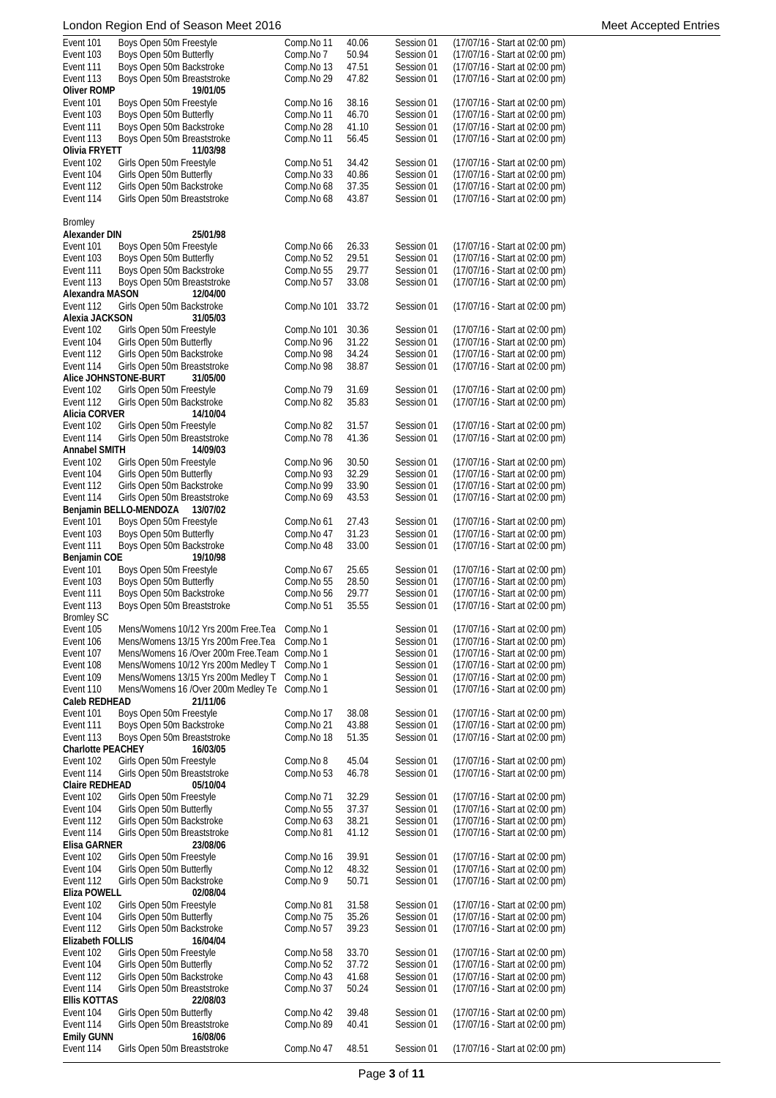| Event 101                      | Boys Open 50m Freestyle                          | Comp.No 11  | 40.06 | Session 01 | (17/07/16 - Start at 02:00 pm) |
|--------------------------------|--------------------------------------------------|-------------|-------|------------|--------------------------------|
| Event 103                      | Boys Open 50m Butterfly                          | Comp.No 7   | 50.94 | Session 01 | (17/07/16 - Start at 02:00 pm) |
| Event 111                      | Boys Open 50m Backstroke                         | Comp.No 13  | 47.51 | Session 01 | (17/07/16 - Start at 02:00 pm) |
|                                |                                                  |             |       |            |                                |
| Event 113                      | Boys Open 50m Breaststroke                       | Comp.No 29  | 47.82 | Session 01 | (17/07/16 - Start at 02:00 pm) |
| <b>Oliver ROMP</b>             | 19/01/05                                         |             |       |            |                                |
| Event 101                      | Boys Open 50m Freestyle                          | Comp.No 16  | 38.16 | Session 01 | (17/07/16 - Start at 02:00 pm) |
| Event 103                      | Boys Open 50m Butterfly                          | Comp.No 11  | 46.70 | Session 01 | (17/07/16 - Start at 02:00 pm) |
| Event 111                      | Boys Open 50m Backstroke                         | Comp.No 28  | 41.10 | Session 01 | (17/07/16 - Start at 02:00 pm) |
|                                |                                                  |             |       |            |                                |
| Event 113                      | Boys Open 50m Breaststroke                       | Comp.No 11  | 56.45 | Session 01 | (17/07/16 - Start at 02:00 pm) |
| Olivia FRYETT                  | 11/03/98                                         |             |       |            |                                |
| Event 102                      | Girls Open 50m Freestyle                         | Comp.No 51  | 34.42 | Session 01 | (17/07/16 - Start at 02:00 pm) |
| Event 104                      | Girls Open 50m Butterfly                         | Comp.No 33  | 40.86 | Session 01 | (17/07/16 - Start at 02:00 pm) |
| Event 112                      | Girls Open 50m Backstroke                        | Comp.No 68  | 37.35 | Session 01 | (17/07/16 - Start at 02:00 pm) |
|                                |                                                  |             |       |            |                                |
| Event 114                      | Girls Open 50m Breaststroke                      | Comp.No 68  | 43.87 | Session 01 | (17/07/16 - Start at 02:00 pm) |
|                                |                                                  |             |       |            |                                |
| Bromley                        |                                                  |             |       |            |                                |
| Alexander DIN                  | 25/01/98                                         |             |       |            |                                |
| Event 101                      | Boys Open 50m Freestyle                          | Comp.No 66  | 26.33 | Session 01 | (17/07/16 - Start at 02:00 pm) |
|                                | Boys Open 50m Butterfly                          |             | 29.51 | Session 01 |                                |
| Event 103                      |                                                  | Comp.No 52  |       |            | (17/07/16 - Start at 02:00 pm) |
| Event 111                      | Boys Open 50m Backstroke                         | Comp.No 55  | 29.77 | Session 01 | (17/07/16 - Start at 02:00 pm) |
| Event 113                      | Boys Open 50m Breaststroke                       | Comp.No 57  | 33.08 | Session 01 | (17/07/16 - Start at 02:00 pm) |
| Alexandra MASON                | 12/04/00                                         |             |       |            |                                |
| Event 112                      | Girls Open 50m Backstroke                        | Comp.No 101 | 33.72 | Session 01 | (17/07/16 - Start at 02:00 pm) |
| Alexia JACKSON                 |                                                  |             |       |            |                                |
|                                | 31/05/03                                         |             |       |            |                                |
| Event 102                      | Girls Open 50m Freestyle                         | Comp.No 101 | 30.36 | Session 01 | (17/07/16 - Start at 02:00 pm) |
| Event 104                      | Girls Open 50m Butterfly                         | Comp.No 96  | 31.22 | Session 01 | (17/07/16 - Start at 02:00 pm) |
| Event 112                      | Girls Open 50m Backstroke                        | Comp.No 98  | 34.24 | Session 01 | (17/07/16 - Start at 02:00 pm) |
| Event 114                      | Girls Open 50m Breaststroke                      | Comp.No 98  | 38.87 | Session 01 | (17/07/16 - Start at 02:00 pm) |
|                                |                                                  |             |       |            |                                |
|                                | Alice JOHNSTONE-BURT<br>31/05/00                 |             |       |            |                                |
| Event 102                      | Girls Open 50m Freestyle                         | Comp.No 79  | 31.69 | Session 01 | (17/07/16 - Start at 02:00 pm) |
| Event 112                      | Girls Open 50m Backstroke                        | Comp.No 82  | 35.83 | Session 01 | (17/07/16 - Start at 02:00 pm) |
| Alicia CORVER                  | 14/10/04                                         |             |       |            |                                |
| Event 102                      | Girls Open 50m Freestyle                         | Comp.No 82  | 31.57 | Session 01 | (17/07/16 - Start at 02:00 pm) |
|                                |                                                  |             |       |            |                                |
| Event 114                      | Girls Open 50m Breaststroke                      | Comp.No 78  | 41.36 | Session 01 | (17/07/16 - Start at 02:00 pm) |
| <b>Annabel SMITH</b>           | 14/09/03                                         |             |       |            |                                |
| Event 102                      | Girls Open 50m Freestyle                         | Comp.No 96  | 30.50 | Session 01 | (17/07/16 - Start at 02:00 pm) |
| Event 104                      | Girls Open 50m Butterfly                         | Comp.No 93  | 32.29 | Session 01 | (17/07/16 - Start at 02:00 pm) |
| Event 112                      | Girls Open 50m Backstroke                        | Comp.No 99  | 33.90 | Session 01 | (17/07/16 - Start at 02:00 pm) |
|                                |                                                  |             |       |            |                                |
| Event 114                      | Girls Open 50m Breaststroke                      | Comp.No 69  | 43.53 | Session 01 | (17/07/16 - Start at 02:00 pm) |
|                                | Benjamin BELLO-MENDOZA<br>13/07/02               |             |       |            |                                |
| Event 101                      | Boys Open 50m Freestyle                          | Comp.No 61  | 27.43 | Session 01 | (17/07/16 - Start at 02:00 pm) |
|                                |                                                  |             |       |            |                                |
|                                |                                                  |             |       |            |                                |
| Event 103                      | Boys Open 50m Butterfly                          | Comp.No 47  | 31.23 | Session 01 | (17/07/16 - Start at 02:00 pm) |
| Event 111                      | Boys Open 50m Backstroke                         | Comp.No 48  | 33.00 | Session 01 | (17/07/16 - Start at 02:00 pm) |
| Benjamin COE                   | 19/10/98                                         |             |       |            |                                |
| Event 101                      | Boys Open 50m Freestyle                          | Comp.No 67  | 25.65 | Session 01 | (17/07/16 - Start at 02:00 pm) |
| Event 103                      | Boys Open 50m Butterfly                          | Comp.No 55  | 28.50 | Session 01 |                                |
|                                |                                                  |             |       |            | (17/07/16 - Start at 02:00 pm) |
| Event 111                      | Boys Open 50m Backstroke                         | Comp.No 56  | 29.77 | Session 01 | (17/07/16 - Start at 02:00 pm) |
| Event 113                      | Boys Open 50m Breaststroke                       | Comp.No 51  | 35.55 | Session 01 | (17/07/16 - Start at 02:00 pm) |
| <b>Bromley SC</b>              |                                                  |             |       |            |                                |
| Event 105                      | Mens/Womens 10/12 Yrs 200m Free. Tea             | Comp.No 1   |       | Session 01 | (17/07/16 - Start at 02:00 pm) |
| Event 106                      | Mens/Womens 13/15 Yrs 200m Free. Tea             |             |       |            |                                |
|                                |                                                  | Comp.No 1   |       | Session 01 | (17/07/16 - Start at 02:00 pm) |
| Event 107                      | Mens/Womens 16 / Over 200m Free. Team Comp. No 1 |             |       | Session 01 | (17/07/16 - Start at 02:00 pm) |
| Event 108                      | Mens/Womens 10/12 Yrs 200m Medley T              | Comp.No 1   |       | Session 01 | (17/07/16 - Start at 02:00 pm) |
| Event 109                      | Mens/Womens 13/15 Yrs 200m Medley T              | Comp.No 1   |       | Session 01 | (17/07/16 - Start at 02:00 pm) |
| Event 110                      | Mens/Womens 16 / Over 200m Medley Te             | Comp.No 1   |       | Session 01 | (17/07/16 - Start at 02:00 pm) |
| Caleb REDHEAD                  | 21/11/06                                         |             |       |            |                                |
|                                |                                                  |             |       |            |                                |
| Event 101                      | Boys Open 50m Freestyle                          | Comp.No 17  | 38.08 | Session 01 | (17/07/16 - Start at 02:00 pm) |
| Event 111                      | Boys Open 50m Backstroke                         | Comp.No 21  | 43.88 | Session 01 | (17/07/16 - Start at 02:00 pm) |
| Event 113                      | Boys Open 50m Breaststroke                       | Comp.No 18  | 51.35 | Session 01 | (17/07/16 - Start at 02:00 pm) |
| <b>Charlotte PEACHEY</b>       | 16/03/05                                         |             |       |            |                                |
| Event 102                      | Girls Open 50m Freestyle                         | Comp.No 8   | 45.04 | Session 01 | (17/07/16 - Start at 02:00 pm) |
|                                |                                                  |             |       |            |                                |
| Event 114                      | Girls Open 50m Breaststroke                      | Comp.No 53  | 46.78 | Session 01 | (17/07/16 - Start at 02:00 pm) |
| <b>Claire REDHEAD</b>          | 05/10/04                                         |             |       |            |                                |
| Event 102                      | Girls Open 50m Freestyle                         | Comp.No 71  | 32.29 | Session 01 | (17/07/16 - Start at 02:00 pm) |
| Event 104                      | Girls Open 50m Butterfly                         | Comp.No 55  | 37.37 | Session 01 | (17/07/16 - Start at 02:00 pm) |
| Event 112                      | Girls Open 50m Backstroke                        | Comp.No 63  | 38.21 | Session 01 |                                |
|                                |                                                  |             |       |            | (17/07/16 - Start at 02:00 pm) |
| Event 114                      | Girls Open 50m Breaststroke                      | Comp.No 81  | 41.12 | Session 01 | (17/07/16 - Start at 02:00 pm) |
| Elisa GARNER                   | 23/08/06                                         |             |       |            |                                |
| Event 102                      | Girls Open 50m Freestyle                         | Comp.No 16  | 39.91 | Session 01 | (17/07/16 - Start at 02:00 pm) |
| Event 104                      | Girls Open 50m Butterfly                         | Comp.No 12  | 48.32 | Session 01 | (17/07/16 - Start at 02:00 pm) |
| Event 112                      | Girls Open 50m Backstroke                        | Comp.No 9   | 50.71 | Session 01 | (17/07/16 - Start at 02:00 pm) |
|                                | 02/08/04                                         |             |       |            |                                |
| Eliza POWELL                   |                                                  |             |       |            |                                |
| Event 102                      | Girls Open 50m Freestyle                         | Comp.No 81  | 31.58 | Session 01 | (17/07/16 - Start at 02:00 pm) |
| Event 104                      | Girls Open 50m Butterfly                         | Comp.No 75  | 35.26 | Session 01 | (17/07/16 - Start at 02:00 pm) |
| Event 112                      | Girls Open 50m Backstroke                        | Comp.No 57  | 39.23 | Session 01 | (17/07/16 - Start at 02:00 pm) |
| Elizabeth FOLLIS               | 16/04/04                                         |             |       |            |                                |
| Event 102                      | Girls Open 50m Freestyle                         | Comp.No 58  | 33.70 | Session 01 | (17/07/16 - Start at 02:00 pm) |
|                                |                                                  |             |       |            |                                |
| Event 104                      | Girls Open 50m Butterfly                         | Comp.No 52  | 37.72 | Session 01 | (17/07/16 - Start at 02:00 pm) |
| Event 112                      | Girls Open 50m Backstroke                        | Comp.No 43  | 41.68 | Session 01 | (17/07/16 - Start at 02:00 pm) |
| Event 114                      | Girls Open 50m Breaststroke                      | Comp.No 37  | 50.24 | Session 01 | (17/07/16 - Start at 02:00 pm) |
| Ellis KOTTAS                   | 22/08/03                                         |             |       |            |                                |
| Event 104                      | Girls Open 50m Butterfly                         | Comp.No 42  | 39.48 | Session 01 | (17/07/16 - Start at 02:00 pm) |
|                                |                                                  |             |       |            |                                |
| Event 114                      | Girls Open 50m Breaststroke                      | Comp.No 89  | 40.41 | Session 01 | (17/07/16 - Start at 02:00 pm) |
| <b>Emily GUNN</b><br>Event 114 | 16/08/06<br>Girls Open 50m Breaststroke          | Comp.No 47  | 48.51 | Session 01 | (17/07/16 - Start at 02:00 pm) |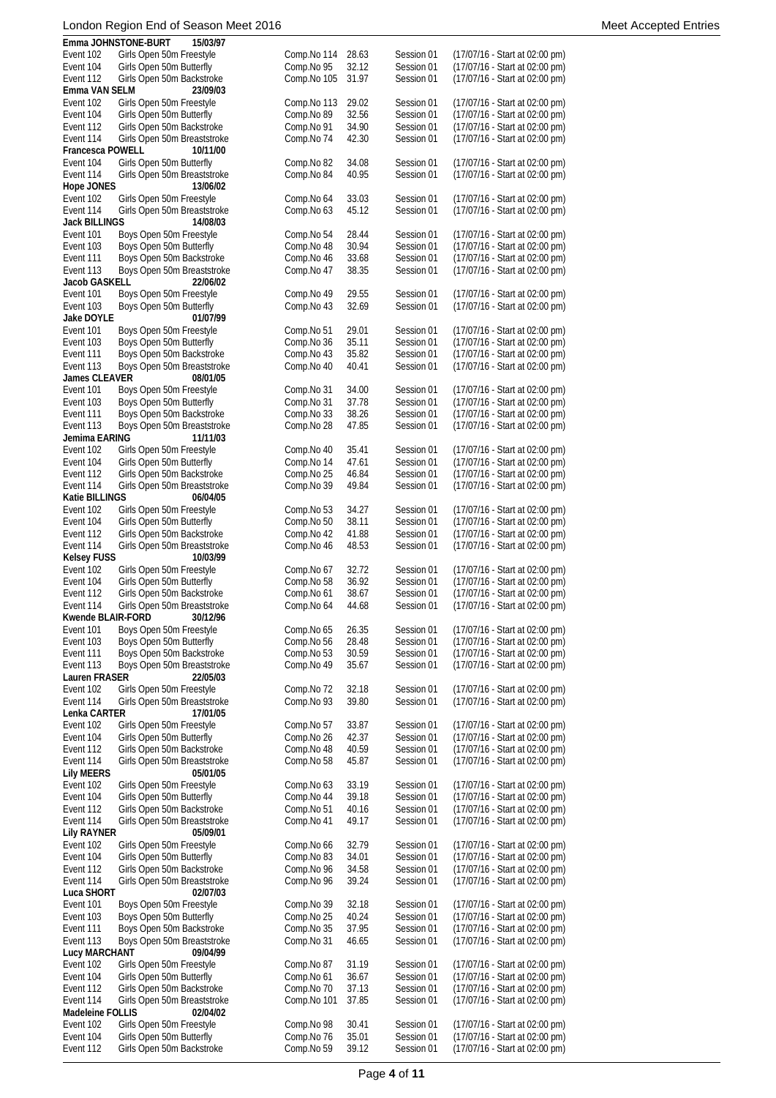|                         | Emma JOHNSTONE-BURT<br>15/03/97                       |                          |                |                          |                                                                  |
|-------------------------|-------------------------------------------------------|--------------------------|----------------|--------------------------|------------------------------------------------------------------|
| Event 102               | Girls Open 50m Freestyle                              | Comp.No 114              | 28.63          | Session 01               | (17/07/16 - Start at 02:00 pm)                                   |
| Event 104               | Girls Open 50m Butterfly                              | Comp.No 95               | 32.12          | Session 01               | (17/07/16 - Start at 02:00 pm)                                   |
| Event 112               | Girls Open 50m Backstroke                             | Comp.No 105              | 31.97          | Session 01               | (17/07/16 - Start at 02:00 pm)                                   |
| Emma VAN SELM           | 23/09/03                                              |                          |                |                          |                                                                  |
| Event 102               | Girls Open 50m Freestyle                              | Comp.No 113              | 29.02          | Session 01               | (17/07/16 - Start at 02:00 pm)                                   |
| Event 104               | Girls Open 50m Butterfly                              | Comp.No 89               | 32.56          | Session 01               | (17/07/16 - Start at 02:00 pm)                                   |
|                         |                                                       |                          |                |                          |                                                                  |
| Event 112               | Girls Open 50m Backstroke                             | Comp.No 91               | 34.90          | Session 01               | (17/07/16 - Start at 02:00 pm)                                   |
| Event 114               | Girls Open 50m Breaststroke                           | Comp.No 74               | 42.30          | Session 01               | (17/07/16 - Start at 02:00 pm)                                   |
| <b>Francesca POWELL</b> | 10/11/00                                              |                          |                |                          |                                                                  |
| Event 104               | Girls Open 50m Butterfly                              | Comp.No 82               | 34.08          | Session 01               | (17/07/16 - Start at 02:00 pm)                                   |
|                         | Girls Open 50m Breaststroke                           |                          | 40.95          | Session 01               |                                                                  |
| Event 114               |                                                       | Comp.No 84               |                |                          | (17/07/16 - Start at 02:00 pm)                                   |
| Hope JONES              | 13/06/02                                              |                          |                |                          |                                                                  |
| Event 102               | Girls Open 50m Freestyle                              | Comp.No 64               | 33.03          | Session 01               | (17/07/16 - Start at 02:00 pm)                                   |
| Event 114               | Girls Open 50m Breaststroke                           | Comp.No 63               | 45.12          | Session 01               | (17/07/16 - Start at 02:00 pm)                                   |
| <b>Jack BILLINGS</b>    | 14/08/03                                              |                          |                |                          |                                                                  |
| Event 101               | Boys Open 50m Freestyle                               | Comp.No 54               | 28.44          | Session 01               | (17/07/16 - Start at 02:00 pm)                                   |
|                         |                                                       |                          |                |                          |                                                                  |
| Event 103               | Boys Open 50m Butterfly                               | Comp.No 48               | 30.94          | Session 01               | (17/07/16 - Start at 02:00 pm)                                   |
| Event 111               | Boys Open 50m Backstroke                              | Comp.No 46               | 33.68          | Session 01               | (17/07/16 - Start at 02:00 pm)                                   |
| Event 113               | Boys Open 50m Breaststroke                            | Comp.No 47               | 38.35          | Session 01               | (17/07/16 - Start at 02:00 pm)                                   |
| Jacob GASKELL           | 22/06/02                                              |                          |                |                          |                                                                  |
| Event 101               | Boys Open 50m Freestyle                               | Comp.No 49               | 29.55          | Session 01               | (17/07/16 - Start at 02:00 pm)                                   |
| Event 103               | Boys Open 50m Butterfly                               | Comp.No 43               | 32.69          | Session 01               | (17/07/16 - Start at 02:00 pm)                                   |
|                         |                                                       |                          |                |                          |                                                                  |
| Jake DOYLE              | 01/07/99                                              |                          |                |                          |                                                                  |
| Event 101               | Boys Open 50m Freestyle                               | Comp.No 51               | 29.01          | Session 01               | (17/07/16 - Start at 02:00 pm)                                   |
| Event 103               | Boys Open 50m Butterfly                               | Comp.No 36               | 35.11          | Session 01               | (17/07/16 - Start at 02:00 pm)                                   |
| Event 111               | Boys Open 50m Backstroke                              | Comp.No 43               | 35.82          | Session 01               | (17/07/16 - Start at 02:00 pm)                                   |
| Event 113               | Boys Open 50m Breaststroke                            | Comp.No 40               | 40.41          | Session 01               | (17/07/16 - Start at 02:00 pm)                                   |
|                         |                                                       |                          |                |                          |                                                                  |
| James CLEAVER           | 08/01/05                                              |                          |                |                          |                                                                  |
| Event 101               | Boys Open 50m Freestyle                               | Comp.No 31               | 34.00          | Session 01               | (17/07/16 - Start at 02:00 pm)                                   |
| Event 103               | Boys Open 50m Butterfly                               | Comp.No 31               | 37.78          | Session 01               | (17/07/16 - Start at 02:00 pm)                                   |
| Event 111               | Boys Open 50m Backstroke                              | Comp.No 33               | 38.26          | Session 01               | (17/07/16 - Start at 02:00 pm)                                   |
| Event 113               | Boys Open 50m Breaststroke                            | Comp.No 28               | 47.85          | Session 01               | (17/07/16 - Start at 02:00 pm)                                   |
|                         |                                                       |                          |                |                          |                                                                  |
| Jemima EARING           | 11/11/03                                              |                          |                |                          |                                                                  |
| Event 102               | Girls Open 50m Freestyle                              | Comp.No 40               | 35.41          | Session 01               | (17/07/16 - Start at 02:00 pm)                                   |
| Event 104               | Girls Open 50m Butterfly                              | Comp.No 14               | 47.61          | Session 01               | (17/07/16 - Start at 02:00 pm)                                   |
| Event 112               | Girls Open 50m Backstroke                             | Comp.No 25               | 46.84          | Session 01               | (17/07/16 - Start at 02:00 pm)                                   |
| Event 114               | Girls Open 50m Breaststroke                           | Comp.No 39               | 49.84          | Session 01               | (17/07/16 - Start at 02:00 pm)                                   |
| Katie BILLINGS          | 06/04/05                                              |                          |                |                          |                                                                  |
|                         |                                                       |                          |                |                          |                                                                  |
| Event 102               | Girls Open 50m Freestyle                              | Comp.No 53               | 34.27          | Session 01               | (17/07/16 - Start at 02:00 pm)                                   |
| Event 104               | Girls Open 50m Butterfly                              | Comp.No 50               | 38.11          | Session 01               | (17/07/16 - Start at 02:00 pm)                                   |
| Event 112               | Girls Open 50m Backstroke                             | Comp.No 42               | 41.88          | Session 01               | (17/07/16 - Start at 02:00 pm)                                   |
| Event 114               | Girls Open 50m Breaststroke                           | Comp.No 46               | 48.53          | Session 01               | (17/07/16 - Start at 02:00 pm)                                   |
| <b>Kelsey FUSS</b>      | 10/03/99                                              |                          |                |                          |                                                                  |
|                         | Girls Open 50m Freestyle                              |                          |                | Session 01               |                                                                  |
| Event 102               |                                                       | Comp.No 67               | 32.72          |                          | (17/07/16 - Start at 02:00 pm)                                   |
| Event 104               | Girls Open 50m Butterfly                              | Comp.No 58               | 36.92          | Session 01               | (17/07/16 - Start at 02:00 pm)                                   |
| Event 112               | Girls Open 50m Backstroke                             | Comp.No 61               | 38.67          | Session 01               | (17/07/16 - Start at 02:00 pm)                                   |
| Event 114               | Girls Open 50m Breaststroke                           | Comp.No 64               | 44.68          | Session 01               | (17/07/16 - Start at 02:00 pm)                                   |
|                         | Kwende BLAIR-FORD 30/12/96                            |                          |                |                          |                                                                  |
| Event 101               | Boys Open 50m Freestyle                               | Comp.No 65               | 26.35          | Session 01               | (17/07/16 - Start at 02:00 pm)                                   |
|                         |                                                       |                          |                |                          |                                                                  |
| Event 103               | Boys Open 50m Butterfly                               | Comp.No 56               | 28.48          | Session 01               | (17/07/16 - Start at 02:00 pm)                                   |
| Event 111               | Boys Open 50m Backstroke                              | Comp.No 53               | 30.59          | Session 01               | (17/07/16 - Start at 02:00 pm)                                   |
| Event 113               | Boys Open 50m Breaststroke                            | Comp.No 49               | 35.67          | Session 01               | (17/07/16 - Start at 02:00 pm)                                   |
| Lauren FRASER           | 22/05/03                                              |                          |                |                          |                                                                  |
| Event 102               | Girls Open 50m Freestyle                              | Comp.No 72               | 32.18          | Session 01               | (17/07/16 - Start at 02:00 pm)                                   |
|                         |                                                       |                          |                |                          |                                                                  |
| Event 114               | Girls Open 50m Breaststroke                           | Comp.No 93               | 39.80          | Session 01               | (17/07/16 - Start at 02:00 pm)                                   |
| Lenka CARTER            | 17/01/05                                              |                          |                |                          |                                                                  |
| Event 102               | Girls Open 50m Freestyle                              | Comp.No 57               | 33.87          | Session 01               | (17/07/16 - Start at 02:00 pm)                                   |
| Event 104               | Girls Open 50m Butterfly                              | Comp.No 26               | 42.37          | Session 01               | (17/07/16 - Start at 02:00 pm)                                   |
| Event 112               | Girls Open 50m Backstroke                             | Comp.No 48               | 40.59          | Session 01               | (17/07/16 - Start at 02:00 pm)                                   |
| Event 114               | Girls Open 50m Breaststroke                           | Comp.No 58               | 45.87          | Session 01               | (17/07/16 - Start at 02:00 pm)                                   |
|                         |                                                       |                          |                |                          |                                                                  |
| Lily MEERS              | 05/01/05                                              |                          |                |                          |                                                                  |
| Event 102               | Girls Open 50m Freestyle                              | Comp.No 63               | 33.19          | Session 01               | (17/07/16 - Start at 02:00 pm)                                   |
| Event 104               | Girls Open 50m Butterfly                              | Comp.No 44               | 39.18          | Session 01               | (17/07/16 - Start at 02:00 pm)                                   |
| Event 112               | Girls Open 50m Backstroke                             | Comp.No 51               | 40.16          | Session 01               | (17/07/16 - Start at 02:00 pm)                                   |
| Event 114               | Girls Open 50m Breaststroke                           | Comp.No 41               | 49.17          | Session 01               | (17/07/16 - Start at 02:00 pm)                                   |
|                         |                                                       |                          |                |                          |                                                                  |
| <b>Lily RAYNER</b>      | 05/09/01                                              |                          |                |                          |                                                                  |
| Event 102               | Girls Open 50m Freestyle                              | Comp.No 66               | 32.79          | Session 01               | (17/07/16 - Start at 02:00 pm)                                   |
| Event 104               | Girls Open 50m Butterfly                              | Comp.No 83               | 34.01          | Session 01               | (17/07/16 - Start at 02:00 pm)                                   |
| Event 112               | Girls Open 50m Backstroke                             | Comp.No 96               | 34.58          | Session 01               | (17/07/16 - Start at 02:00 pm)                                   |
| Event 114               | Girls Open 50m Breaststroke                           | Comp.No 96               | 39.24          | Session 01               | (17/07/16 - Start at 02:00 pm)                                   |
|                         |                                                       |                          |                |                          |                                                                  |
| Luca SHORT              | 02/07/03                                              |                          |                |                          |                                                                  |
| Event 101               | Boys Open 50m Freestyle                               | Comp.No 39               | 32.18          | Session 01               | (17/07/16 - Start at 02:00 pm)                                   |
| Event 103               | Boys Open 50m Butterfly                               | Comp.No 25               | 40.24          | Session 01               | (17/07/16 - Start at 02:00 pm)                                   |
| Event 111               | Boys Open 50m Backstroke                              | Comp.No 35               | 37.95          | Session 01               | (17/07/16 - Start at 02:00 pm)                                   |
| Event 113               | Boys Open 50m Breaststroke                            | Comp.No 31               | 46.65          | Session 01               | (17/07/16 - Start at 02:00 pm)                                   |
|                         |                                                       |                          |                |                          |                                                                  |
| Lucy MARCHANT           | 09/04/99                                              |                          |                |                          |                                                                  |
| Event 102               | Girls Open 50m Freestyle                              | Comp.No 87               | 31.19          | Session 01               | (17/07/16 - Start at 02:00 pm)                                   |
| Event 104               | Girls Open 50m Butterfly                              | Comp.No 61               | 36.67          | Session 01               | (17/07/16 - Start at 02:00 pm)                                   |
| Event 112               | Girls Open 50m Backstroke                             | Comp.No 70               | 37.13          | Session 01               | (17/07/16 - Start at 02:00 pm)                                   |
| Event 114               | Girls Open 50m Breaststroke                           | Comp.No 101              | 37.85          | Session 01               | (17/07/16 - Start at 02:00 pm)                                   |
|                         |                                                       |                          |                |                          |                                                                  |
| Madeleine FOLLIS        | 02/04/02                                              |                          |                |                          |                                                                  |
| Event 102               | Girls Open 50m Freestyle                              | Comp.No 98               | 30.41          | Session 01               | (17/07/16 - Start at 02:00 pm)                                   |
|                         |                                                       |                          |                |                          |                                                                  |
| Event 104<br>Event 112  | Girls Open 50m Butterfly<br>Girls Open 50m Backstroke | Comp.No 76<br>Comp.No 59 | 35.01<br>39.12 | Session 01<br>Session 01 | (17/07/16 - Start at 02:00 pm)<br>(17/07/16 - Start at 02:00 pm) |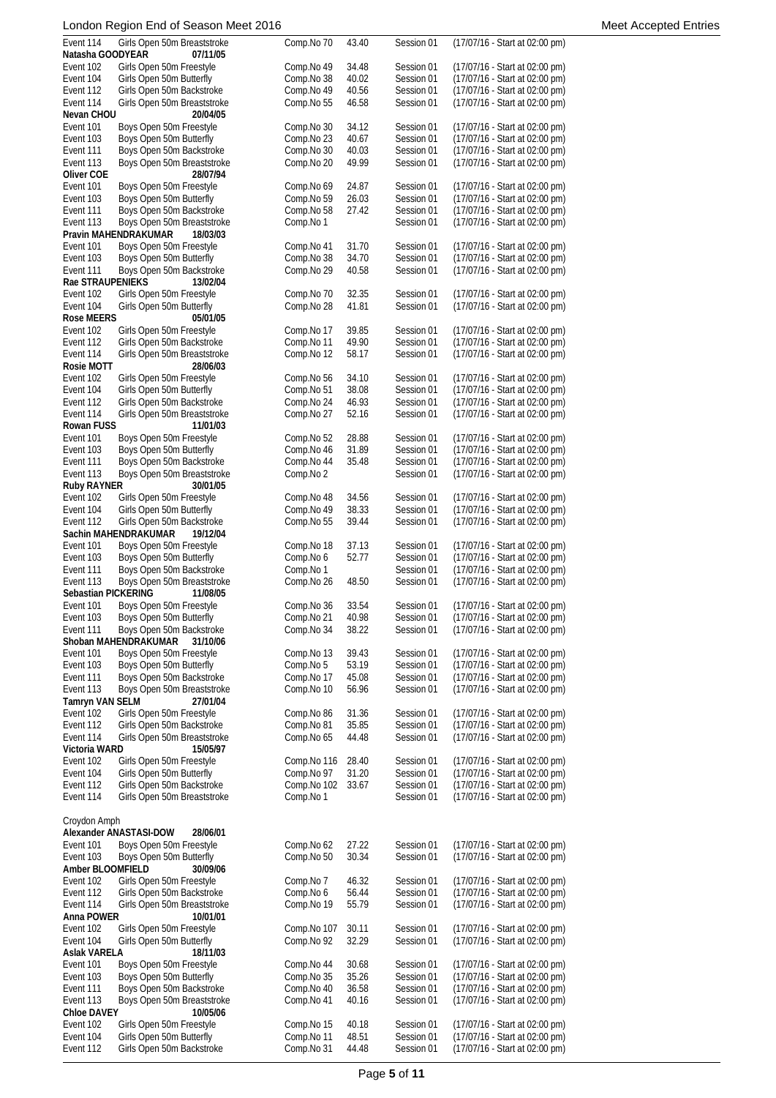| Event 114              | Girls Open 50m Breaststroke                         | Comp.No 70               | 43.40          | Session 01               | (17/07/16 - Start at 02:00 pm)                                   |
|------------------------|-----------------------------------------------------|--------------------------|----------------|--------------------------|------------------------------------------------------------------|
| Natasha GOODYEAR       | 07/11/05                                            |                          |                |                          |                                                                  |
| Event 102              | Girls Open 50m Freestyle                            | Comp.No 49               | 34.48          | Session 01               | $(17/07/16 - Start at 02:00 pm)$                                 |
| Event 104              | Girls Open 50m Butterfly                            | Comp.No 38               | 40.02          | Session 01               | (17/07/16 - Start at 02:00 pm)                                   |
| Event 112              | Girls Open 50m Backstroke                           | Comp.No 49               | 40.56          | Session 01               | (17/07/16 - Start at 02:00 pm)                                   |
| Event 114              | Girls Open 50m Breaststroke                         | Comp.No 55               | 46.58          | Session 01               | (17/07/16 - Start at 02:00 pm)                                   |
| Nevan CHOU             | 20/04/05                                            |                          |                |                          |                                                                  |
| Event 101              | Boys Open 50m Freestyle                             | Comp.No 30               | 34.12          | Session 01               | (17/07/16 - Start at 02:00 pm)                                   |
| Event 103              | Boys Open 50m Butterfly                             | Comp.No 23               | 40.67          | Session 01               | (17/07/16 - Start at 02:00 pm)                                   |
| Event 111              | Boys Open 50m Backstroke                            | Comp.No 30               | 40.03          | Session 01               | (17/07/16 - Start at 02:00 pm)                                   |
| Event 113              | Boys Open 50m Breaststroke                          | Comp.No 20               | 49.99          | Session 01               | (17/07/16 - Start at 02:00 pm)                                   |
| Oliver COE             | 28/07/94                                            |                          |                |                          |                                                                  |
| Event 101              | Boys Open 50m Freestyle                             | Comp.No 69               | 24.87          | Session 01               | (17/07/16 - Start at 02:00 pm)                                   |
| Event 103              | Boys Open 50m Butterfly                             | Comp.No 59               | 26.03          | Session 01               | (17/07/16 - Start at 02:00 pm)                                   |
| Event 111              | Boys Open 50m Backstroke                            | Comp.No 58               | 27.42          | Session 01               | (17/07/16 - Start at 02:00 pm)                                   |
| Event 113              | Boys Open 50m Breaststroke                          | Comp.No 1                |                | Session 01               | (17/07/16 - Start at 02:00 pm)                                   |
|                        | Pravin MAHENDRAKUMAR<br>18/03/03                    |                          |                |                          |                                                                  |
| Event 101              | Boys Open 50m Freestyle                             | Comp.No 41               | 31.70          | Session 01               | (17/07/16 - Start at 02:00 pm)                                   |
| Event 103<br>Event 111 | Boys Open 50m Butterfly<br>Boys Open 50m Backstroke | Comp.No 38<br>Comp.No 29 | 34.70<br>40.58 | Session 01<br>Session 01 | (17/07/16 - Start at 02:00 pm)<br>(17/07/16 - Start at 02:00 pm) |
| Rae STRAUPENIEKS       |                                                     |                          |                |                          |                                                                  |
| Event 102              | 13/02/04<br>Girls Open 50m Freestyle                | Comp.No 70               | 32.35          | Session 01               | (17/07/16 - Start at 02:00 pm)                                   |
| Event 104              | Girls Open 50m Butterfly                            | Comp.No 28               | 41.81          | Session 01               | (17/07/16 - Start at 02:00 pm)                                   |
| <b>Rose MEERS</b>      | 05/01/05                                            |                          |                |                          |                                                                  |
| Event 102              | Girls Open 50m Freestyle                            | Comp.No 17               | 39.85          | Session 01               | (17/07/16 - Start at 02:00 pm)                                   |
| Event 112              | Girls Open 50m Backstroke                           | Comp.No 11               | 49.90          | Session 01               | (17/07/16 - Start at 02:00 pm)                                   |
| Event 114              | Girls Open 50m Breaststroke                         | Comp.No 12               | 58.17          | Session 01               | (17/07/16 - Start at 02:00 pm)                                   |
| <b>Rosie MOTT</b>      | 28/06/03                                            |                          |                |                          |                                                                  |
| Event 102              | Girls Open 50m Freestyle                            | Comp.No 56               | 34.10          | Session 01               | (17/07/16 - Start at 02:00 pm)                                   |
| Event 104              | Girls Open 50m Butterfly                            | Comp.No 51               | 38.08          | Session 01               | (17/07/16 - Start at 02:00 pm)                                   |
| Event 112              | Girls Open 50m Backstroke                           | Comp.No 24               | 46.93          | Session 01               | (17/07/16 - Start at 02:00 pm)                                   |
| Event 114              | Girls Open 50m Breaststroke                         | Comp.No 27               | 52.16          | Session 01               | (17/07/16 - Start at 02:00 pm)                                   |
| Rowan FUSS             | 11/01/03                                            |                          |                |                          |                                                                  |
| Event 101              | Boys Open 50m Freestyle                             | Comp.No 52               | 28.88          | Session 01               | (17/07/16 - Start at 02:00 pm)                                   |
| Event 103              | Boys Open 50m Butterfly                             | Comp.No 46               | 31.89          | Session 01               | (17/07/16 - Start at 02:00 pm)                                   |
| Event 111              | Boys Open 50m Backstroke                            | Comp.No 44               | 35.48          | Session 01               | (17/07/16 - Start at 02:00 pm)                                   |
| Event 113              | Boys Open 50m Breaststroke                          | Comp.No 2                |                | Session 01               | (17/07/16 - Start at 02:00 pm)                                   |
| Ruby RAYNER            | 30/01/05                                            |                          |                |                          |                                                                  |
| Event 102              | Girls Open 50m Freestyle                            | Comp.No 48               | 34.56          | Session 01               | (17/07/16 - Start at 02:00 pm)                                   |
| Event 104              | Girls Open 50m Butterfly                            | Comp.No 49               | 38.33          | Session 01               | (17/07/16 - Start at 02:00 pm)                                   |
| Event 112              | Girls Open 50m Backstroke                           | Comp.No 55               | 39.44          | Session 01               | (17/07/16 - Start at 02:00 pm)                                   |
|                        | Sachin MAHENDRAKUMAR<br>19/12/04                    |                          |                |                          |                                                                  |
| Event 101              | Boys Open 50m Freestyle                             | Comp.No 18               | 37.13          | Session 01               | (17/07/16 - Start at 02:00 pm)                                   |
| Event 103              | Boys Open 50m Butterfly                             | Comp.No 6                | 52.77          | Session 01               | (17/07/16 - Start at 02:00 pm)                                   |
| Event 111              | Boys Open 50m Backstroke                            | Comp.No 1                |                | Session 01               | (17/07/16 - Start at 02:00 pm)                                   |
| Event 113              | Boys Open 50m Breaststroke                          | Comp.No 26               | 48.50          | Session 01               | (17/07/16 - Start at 02:00 pm)                                   |
| Sebastian PICKERING    | 11/08/05                                            |                          |                |                          |                                                                  |
| Event 101              | Boys Open 50m Freestyle                             | Comp.No 36               | 33.54          | Session 01               | (17/07/16 - Start at 02:00 pm)                                   |
| Event 103              | Boys Open 50m Butterfly                             | Comp.No 21               | 40.98          | Session 01               | (17/07/16 - Start at 02:00 pm)                                   |
| Event 111              | Boys Open 50m Backstroke                            | Comp.No 34               | 38.22          | Session 01               | (17/07/16 - Start at 02:00 pm)                                   |
|                        | Shoban MAHENDRAKUMAR<br>31/10/06                    |                          |                |                          |                                                                  |
| Event 101              | Boys Open 50m Freestyle                             | Comp.No 13               | 39.43          | Session 01               | (17/07/16 - Start at 02:00 pm)                                   |
| Event 103              | Boys Open 50m Butterfly                             | Comp.No 5                | 53.19          | Session 01               | (17/07/16 - Start at 02:00 pm)                                   |
| Event 111              | Boys Open 50m Backstroke                            | Comp.No 17               | 45.08          | Session 01               | (17/07/16 - Start at 02:00 pm)                                   |
| Event 113              | Boys Open 50m Breaststroke                          | Comp.No 10               | 56.96          | Session 01               | (17/07/16 - Start at 02:00 pm)                                   |
| <b>Tamryn VAN SELM</b> | 27/01/04                                            |                          |                |                          |                                                                  |
| Event 102              | Girls Open 50m Freestyle                            | Comp.No 86               | 31.36          | Session 01               | (17/07/16 - Start at 02:00 pm)                                   |
| Event 112              | Girls Open 50m Backstroke                           | Comp.No 81               | 35.85          | Session 01               | (17/07/16 - Start at 02:00 pm)                                   |
| Event 114              | Girls Open 50m Breaststroke                         | Comp.No 65               | 44.48          | Session 01               | (17/07/16 - Start at 02:00 pm)                                   |
| Victoria WARD          | 15/05/97                                            |                          |                |                          |                                                                  |
| Event 102              | Girls Open 50m Freestyle                            | Comp.No 116              | 28.40          | Session 01               | (17/07/16 - Start at 02:00 pm)                                   |
| Event 104              | Girls Open 50m Butterfly                            | Comp.No 97               | 31.20          | Session 01               | (17/07/16 - Start at 02:00 pm)                                   |
| Event 112              | Girls Open 50m Backstroke                           | Comp.No 102              | 33.67          | Session 01               | (17/07/16 - Start at 02:00 pm)                                   |
| Event 114              | Girls Open 50m Breaststroke                         | Comp.No 1                |                | Session 01               | (17/07/16 - Start at 02:00 pm)                                   |
|                        |                                                     |                          |                |                          |                                                                  |
| Croydon Amph           |                                                     |                          |                |                          |                                                                  |
|                        | Alexander ANASTASI-DOW<br>28/06/01                  |                          |                |                          |                                                                  |
| Event 101              | Boys Open 50m Freestyle                             | Comp.No 62               | 27.22          | Session 01               | (17/07/16 - Start at 02:00 pm)                                   |
| Event 103              | Boys Open 50m Butterfly                             | Comp.No 50               | 30.34          | Session 01               | (17/07/16 - Start at 02:00 pm)                                   |
| Amber BLOOMFIELD       | 30/09/06                                            |                          |                |                          |                                                                  |
| Event 102              | Girls Open 50m Freestyle                            | Comp.No 7                | 46.32          | Session 01               | (17/07/16 - Start at 02:00 pm)                                   |
| Event 112              | Girls Open 50m Backstroke                           | Comp.No 6                | 56.44          | Session 01               | (17/07/16 - Start at 02:00 pm)                                   |
| Event 114              | Girls Open 50m Breaststroke                         | Comp.No 19               | 55.79          | Session 01               | (17/07/16 - Start at 02:00 pm)                                   |
| Anna POWER             | 10/01/01                                            |                          |                |                          |                                                                  |
| Event 102              | Girls Open 50m Freestyle                            | Comp.No 107              | 30.11          | Session 01               | (17/07/16 - Start at 02:00 pm)                                   |
| Event 104              | Girls Open 50m Butterfly                            | Comp.No 92               | 32.29          | Session 01               | (17/07/16 - Start at 02:00 pm)                                   |
| Aslak VARELA           | 18/11/03                                            |                          |                |                          |                                                                  |
| Event 101              | Boys Open 50m Freestyle                             | Comp.No 44               | 30.68          | Session 01               | (17/07/16 - Start at 02:00 pm)                                   |
| Event 103              | Boys Open 50m Butterfly                             | Comp.No 35               | 35.26          | Session 01               | (17/07/16 - Start at 02:00 pm)                                   |
| Event 111              | Boys Open 50m Backstroke                            | Comp.No 40               | 36.58          | Session 01               | (17/07/16 - Start at 02:00 pm)                                   |
| Event 113              | Boys Open 50m Breaststroke                          | Comp.No 41               | 40.16          | Session 01               | (17/07/16 - Start at 02:00 pm)                                   |
| <b>Chloe DAVEY</b>     | 10/05/06                                            |                          |                |                          |                                                                  |
| Event 102              | Girls Open 50m Freestyle                            | Comp.No 15               | 40.18          | Session 01               | (17/07/16 - Start at 02:00 pm)                                   |
| Event 104              | Girls Open 50m Butterfly                            | Comp.No 11               | 48.51          | Session 01               | (17/07/16 - Start at 02:00 pm)                                   |
| Event 112              | Girls Open 50m Backstroke                           | Comp.No 31               | 44.48          | Session 01               | (17/07/16 - Start at 02:00 pm)                                   |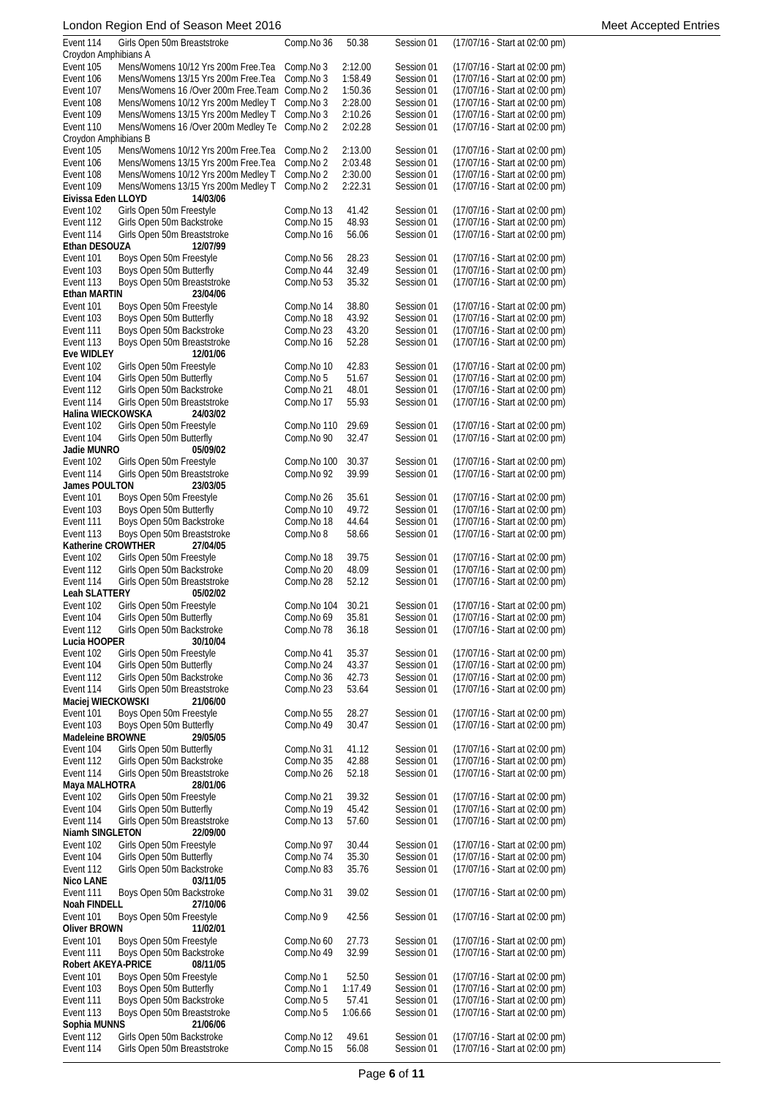| Event 114                              | Girls Open 50m Breaststroke                          | Comp.No 36               | 50.38          | Session 01               | (17/07/16 - Start at 02:00 pm)                                   |  |
|----------------------------------------|------------------------------------------------------|--------------------------|----------------|--------------------------|------------------------------------------------------------------|--|
| Croydon Amphibians A                   |                                                      |                          |                |                          |                                                                  |  |
| Event 105                              | Mens/Womens 10/12 Yrs 200m Free.Tea                  | Comp.No 3                | 2:12.00        | Session 01               | (17/07/16 - Start at 02:00 pm)                                   |  |
| Event 106                              | Mens/Womens 13/15 Yrs 200m Free. Tea                 | Comp.No 3                | 1:58.49        | Session 01               | (17/07/16 - Start at 02:00 pm)                                   |  |
| Event 107                              | Mens/Womens 16 / Over 200m Free. Team Comp. No 2     |                          | 1:50.36        | Session 01               | (17/07/16 - Start at 02:00 pm)                                   |  |
| Event 108                              | Mens/Womens 10/12 Yrs 200m Medley T                  | Comp.No 3                | 2:28.00        | Session 01               | (17/07/16 - Start at 02:00 pm)                                   |  |
| Event 109                              | Mens/Womens 13/15 Yrs 200m Medley T                  | Comp.No 3                | 2:10.26        | Session 01               | (17/07/16 - Start at 02:00 pm)                                   |  |
| Event 110                              | Mens/Womens 16 / Over 200m Medley Te                 | Comp.No 2                | 2:02.28        | Session 01               | (17/07/16 - Start at 02:00 pm)                                   |  |
| Croydon Amphibians B<br>Event 105      | Mens/Womens 10/12 Yrs 200m Free. Tea                 | Comp.No 2                | 2:13.00        | Session 01               | (17/07/16 - Start at 02:00 pm)                                   |  |
| Event 106                              | Mens/Womens 13/15 Yrs 200m Free. Tea                 | Comp.No 2                | 2:03.48        | Session 01               | (17/07/16 - Start at 02:00 pm)                                   |  |
| Event 108                              | Mens/Womens 10/12 Yrs 200m Medley T                  | Comp.No 2                | 2:30.00        | Session 01               | (17/07/16 - Start at 02:00 pm)                                   |  |
| Event 109                              | Mens/Womens 13/15 Yrs 200m Medley T                  | Comp.No 2                | 2:22.31        | Session 01               | (17/07/16 - Start at 02:00 pm)                                   |  |
| Eivissa Eden LLOYD                     | 14/03/06                                             |                          |                |                          |                                                                  |  |
| Event 102                              | Girls Open 50m Freestyle                             | Comp.No 13               | 41.42          | Session 01               | (17/07/16 - Start at 02:00 pm)                                   |  |
| Event 112                              | Girls Open 50m Backstroke                            | Comp.No 15               | 48.93          | Session 01               | (17/07/16 - Start at 02:00 pm)                                   |  |
| Event 114                              | Girls Open 50m Breaststroke                          | Comp.No 16               | 56.06          | Session 01               | (17/07/16 - Start at 02:00 pm)                                   |  |
| Ethan DESOUZA                          | 12/07/99                                             |                          |                |                          |                                                                  |  |
| Event 101                              | Boys Open 50m Freestyle                              | Comp.No 56               | 28.23          | Session 01               | (17/07/16 - Start at 02:00 pm)                                   |  |
| Event 103                              | Boys Open 50m Butterfly                              | Comp.No 44               | 32.49          | Session 01               | (17/07/16 - Start at 02:00 pm)                                   |  |
| Event 113<br><b>Ethan MARTIN</b>       | Boys Open 50m Breaststroke                           | Comp.No 53               | 35.32          | Session 01               | (17/07/16 - Start at 02:00 pm)                                   |  |
| Event 101                              | 23/04/06<br>Boys Open 50m Freestyle                  | Comp.No 14               | 38.80          | Session 01               | (17/07/16 - Start at 02:00 pm)                                   |  |
| Event 103                              | Boys Open 50m Butterfly                              | Comp.No 18               | 43.92          | Session 01               | (17/07/16 - Start at 02:00 pm)                                   |  |
| Event 111                              | Boys Open 50m Backstroke                             | Comp.No 23               | 43.20          | Session 01               | (17/07/16 - Start at 02:00 pm)                                   |  |
| Event 113                              | Boys Open 50m Breaststroke                           | Comp.No 16               | 52.28          | Session 01               | (17/07/16 - Start at 02:00 pm)                                   |  |
| Eve WIDLEY                             | 12/01/06                                             |                          |                |                          |                                                                  |  |
| Event 102                              | Girls Open 50m Freestyle                             | Comp.No 10               | 42.83          | Session 01               | (17/07/16 - Start at 02:00 pm)                                   |  |
| Event 104                              | Girls Open 50m Butterfly                             | Comp.No 5                | 51.67          | Session 01               | (17/07/16 - Start at 02:00 pm)                                   |  |
| Event 112                              | Girls Open 50m Backstroke                            | Comp.No 21               | 48.01          | Session 01               | (17/07/16 - Start at 02:00 pm)                                   |  |
| Event 114                              | Girls Open 50m Breaststroke                          | Comp.No 17               | 55.93          | Session 01               | (17/07/16 - Start at 02:00 pm)                                   |  |
| Halina WIECKOWSKA                      | 24/03/02                                             |                          |                |                          |                                                                  |  |
| Event 102                              | Girls Open 50m Freestyle                             | Comp.No 110              | 29.69          | Session 01               | (17/07/16 - Start at 02:00 pm)                                   |  |
| Event 104                              | Girls Open 50m Butterfly                             | Comp.No 90               | 32.47          | Session 01               | (17/07/16 - Start at 02:00 pm)                                   |  |
| Jadie MUNRO                            | 05/09/02                                             |                          |                |                          |                                                                  |  |
| Event 102                              | Girls Open 50m Freestyle                             | Comp.No 100              | 30.37          | Session 01               | (17/07/16 - Start at 02:00 pm)                                   |  |
| Event 114                              | Girls Open 50m Breaststroke                          | Comp.No 92               | 39.99          | Session 01               | (17/07/16 - Start at 02:00 pm)                                   |  |
| James POULTON<br>Event 101             | 23/03/05                                             |                          |                | Session 01               |                                                                  |  |
| Event 103                              | Boys Open 50m Freestyle<br>Boys Open 50m Butterfly   | Comp.No 26<br>Comp.No 10 | 35.61<br>49.72 | Session 01               | (17/07/16 - Start at 02:00 pm)<br>(17/07/16 - Start at 02:00 pm) |  |
| Event 111                              | Boys Open 50m Backstroke                             | Comp.No 18               | 44.64          | Session 01               | $(17/07/16 - Start at 02:00 pm)$                                 |  |
| Event 113                              | Boys Open 50m Breaststroke                           | Comp.No 8                | 58.66          | Session 01               | (17/07/16 - Start at 02:00 pm)                                   |  |
| Katherine CROWTHER                     | 27/04/05                                             |                          |                |                          |                                                                  |  |
| Event 102                              | Girls Open 50m Freestyle                             | Comp.No 18               | 39.75          | Session 01               | (17/07/16 - Start at 02:00 pm)                                   |  |
| Event 112                              | Girls Open 50m Backstroke                            | Comp.No 20               | 48.09          | Session 01               | (17/07/16 - Start at 02:00 pm)                                   |  |
| Event 114                              | Girls Open 50m Breaststroke                          | Comp.No 28               | 52.12          | Session 01               | (17/07/16 - Start at 02:00 pm)                                   |  |
| Leah SLATTERY                          | 05/02/02                                             |                          |                |                          |                                                                  |  |
| Event 102                              | Girls Open 50m Freestyle                             | Comp.No 104              | 30.21          | Session 01               | (17/07/16 - Start at 02:00 pm)                                   |  |
| Event 104                              | Girls Open 50m Butterfly                             | Comp.No 69               | 35.81          | Session 01               | (17/07/16 - Start at 02:00 pm)                                   |  |
| Event 112                              | Girls Open 50m Backstroke                            | Comp.No 78               | 36.18          | Session 01               | (17/07/16 - Start at 02:00 pm)                                   |  |
| Lucia HOOPER                           | 30/10/04                                             | Comp.No 41               |                |                          |                                                                  |  |
| Event 102<br>Event 104                 | Girls Open 50m Freestyle<br>Girls Open 50m Butterfly | Comp.No 24               | 35.37<br>43.37 | Session 01<br>Session 01 | (17/07/16 - Start at 02:00 pm)<br>(17/07/16 - Start at 02:00 pm) |  |
| Event 112                              | Girls Open 50m Backstroke                            | Comp.No 36               | 42.73          | Session 01               | (17/07/16 - Start at 02:00 pm)                                   |  |
| Event 114                              | Girls Open 50m Breaststroke                          | Comp.No 23               | 53.64          | Session 01               | (17/07/16 - Start at 02:00 pm)                                   |  |
| Maciej WIECKOWSKI                      | 21/06/00                                             |                          |                |                          |                                                                  |  |
| Event 101                              | Boys Open 50m Freestyle                              | Comp.No 55               | 28.27          | Session 01               | (17/07/16 - Start at 02:00 pm)                                   |  |
| Event 103                              | Boys Open 50m Butterfly                              | Comp.No 49               | 30.47          | Session 01               | (17/07/16 - Start at 02:00 pm)                                   |  |
| Madeleine BROWNE                       | 29/05/05                                             |                          |                |                          |                                                                  |  |
| Event 104                              | Girls Open 50m Butterfly                             | Comp.No 31               | 41.12          | Session 01               | (17/07/16 - Start at 02:00 pm)                                   |  |
| Event 112                              | Girls Open 50m Backstroke                            | Comp.No 35               | 42.88          | Session 01               | (17/07/16 - Start at 02:00 pm)                                   |  |
| Event 114                              | Girls Open 50m Breaststroke                          | Comp.No 26               | 52.18          | Session 01               | (17/07/16 - Start at 02:00 pm)                                   |  |
| Maya MALHOTRA                          | 28/01/06                                             |                          |                |                          |                                                                  |  |
| Event 102                              | Girls Open 50m Freestyle                             | Comp.No 21               | 39.32          | Session 01               | (17/07/16 - Start at 02:00 pm)                                   |  |
| Event 104                              | Girls Open 50m Butterfly                             | Comp.No 19               | 45.42          | Session 01               | (17/07/16 - Start at 02:00 pm)                                   |  |
| Event 114<br>Niamh SINGLETON           | Girls Open 50m Breaststroke<br>22/09/00              | Comp.No 13               | 57.60          | Session 01               | (17/07/16 - Start at 02:00 pm)                                   |  |
| Event 102                              | Girls Open 50m Freestyle                             | Comp.No 97               | 30.44          | Session 01               | (17/07/16 - Start at 02:00 pm)                                   |  |
| Event 104                              | Girls Open 50m Butterfly                             | Comp.No 74               | 35.30          | Session 01               | (17/07/16 - Start at 02:00 pm)                                   |  |
| Event 112                              | Girls Open 50m Backstroke                            | Comp.No 83               | 35.76          | Session 01               | (17/07/16 - Start at 02:00 pm)                                   |  |
| Nico LANE                              | 03/11/05                                             |                          |                |                          |                                                                  |  |
| Event 111                              | Boys Open 50m Backstroke                             | Comp.No 31               | 39.02          | Session 01               | (17/07/16 - Start at 02:00 pm)                                   |  |
| Noah FINDELL                           | 27/10/06                                             |                          |                |                          |                                                                  |  |
| Event 101                              | Boys Open 50m Freestyle                              | Comp.No 9                | 42.56          | Session 01               | (17/07/16 - Start at 02:00 pm)                                   |  |
| <b>Oliver BROWN</b>                    | 11/02/01                                             |                          |                |                          |                                                                  |  |
| Event 101                              | Boys Open 50m Freestyle                              | Comp.No 60               | 27.73          | Session 01               | (17/07/16 - Start at 02:00 pm)                                   |  |
| Event 111                              | Boys Open 50m Backstroke                             | Comp.No 49               | 32.99          | Session 01               | (17/07/16 - Start at 02:00 pm)                                   |  |
| <b>Robert AKEYA-PRICE</b><br>Event 101 | 08/11/05<br>Boys Open 50m Freestyle                  | Comp.No 1                | 52.50          | Session 01               | (17/07/16 - Start at 02:00 pm)                                   |  |
| Event 103                              | Boys Open 50m Butterfly                              | Comp.No 1                | 1:17.49        | Session 01               | (17/07/16 - Start at 02:00 pm)                                   |  |
| Event 111                              | Boys Open 50m Backstroke                             | Comp.No 5                | 57.41          | Session 01               | (17/07/16 - Start at 02:00 pm)                                   |  |
| Event 113                              | Boys Open 50m Breaststroke                           | Comp.No 5                | 1:06.66        | Session 01               | (17/07/16 - Start at 02:00 pm)                                   |  |
| Sophia MUNNS                           | 21/06/06                                             |                          |                |                          |                                                                  |  |
| Event 112                              | Girls Open 50m Backstroke                            | Comp.No 12               | 49.61          | Session 01               | (17/07/16 - Start at 02:00 pm)                                   |  |
| Event 114                              | Girls Open 50m Breaststroke                          | Comp.No 15               | 56.08          | Session 01               | (17/07/16 - Start at 02:00 pm)                                   |  |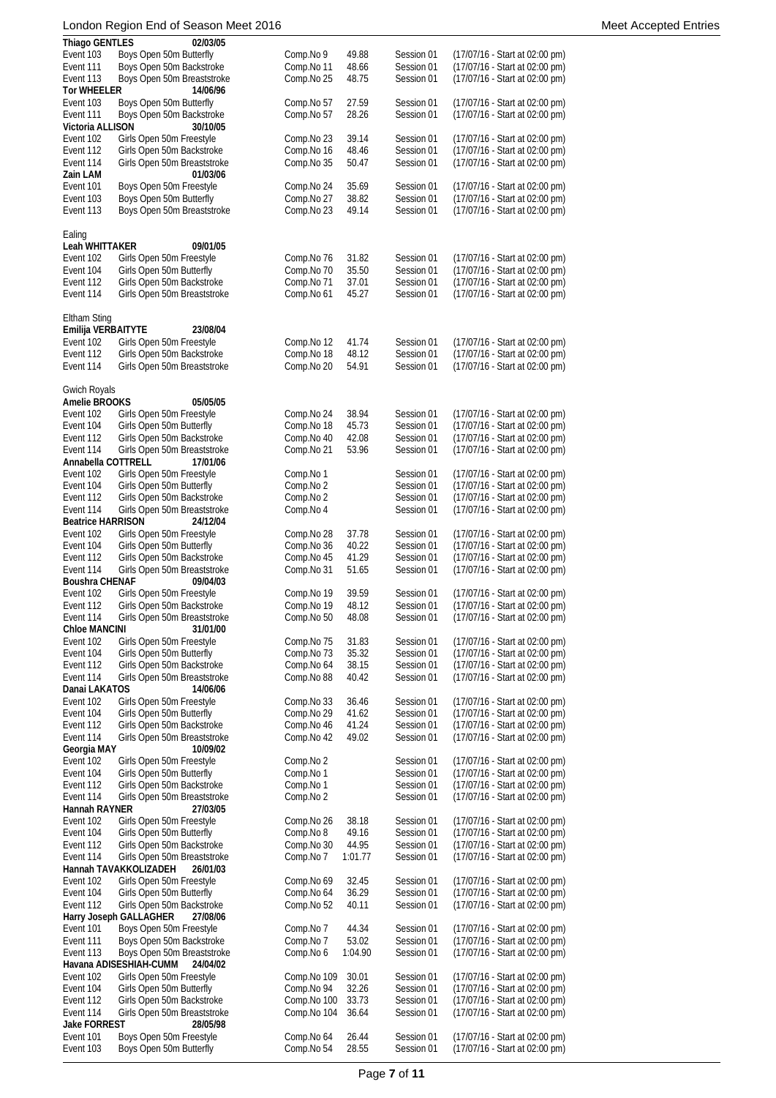| <b>Thiago GENTLES</b>    | 02/03/05                                  |             |         |            |                                |
|--------------------------|-------------------------------------------|-------------|---------|------------|--------------------------------|
| Event 103                | Boys Open 50m Butterfly                   | Comp.No 9   | 49.88   | Session 01 | (17/07/16 - Start at 02:00 pm) |
| Event 111                | Boys Open 50m Backstroke                  | Comp.No 11  | 48.66   | Session 01 | (17/07/16 - Start at 02:00 pm) |
| Event 113                | Boys Open 50m Breaststroke                | Comp.No 25  | 48.75   | Session 01 | (17/07/16 - Start at 02:00 pm) |
| Tor WHEELER              | 14/06/96                                  |             |         |            |                                |
| Event 103                | Boys Open 50m Butterfly                   | Comp.No 57  | 27.59   | Session 01 | (17/07/16 - Start at 02:00 pm) |
| Event 111                | Boys Open 50m Backstroke                  | Comp.No 57  | 28.26   | Session 01 | (17/07/16 - Start at 02:00 pm) |
| Victoria ALLISON         | 30/10/05                                  |             |         |            |                                |
| Event 102                | Girls Open 50m Freestyle                  | Comp.No 23  | 39.14   | Session 01 | (17/07/16 - Start at 02:00 pm) |
|                          |                                           |             |         |            |                                |
| Event 112                | Girls Open 50m Backstroke                 | Comp.No 16  | 48.46   | Session 01 | (17/07/16 - Start at 02:00 pm) |
| Event 114                | Girls Open 50m Breaststroke               | Comp.No 35  | 50.47   | Session 01 | (17/07/16 - Start at 02:00 pm) |
| Zain LAM                 | 01/03/06                                  |             |         |            |                                |
| Event 101                | Boys Open 50m Freestyle                   | Comp.No 24  | 35.69   | Session 01 | (17/07/16 - Start at 02:00 pm) |
| Event 103                | Boys Open 50m Butterfly                   | Comp.No 27  | 38.82   | Session 01 | (17/07/16 - Start at 02:00 pm) |
| Event 113                | Boys Open 50m Breaststroke                | Comp.No 23  | 49.14   | Session 01 | (17/07/16 - Start at 02:00 pm) |
|                          |                                           |             |         |            |                                |
| Ealing                   |                                           |             |         |            |                                |
| Leah WHITTAKER           | 09/01/05                                  |             |         |            |                                |
|                          |                                           |             |         |            |                                |
| Event 102                | Girls Open 50m Freestyle                  | Comp.No 76  | 31.82   | Session 01 | (17/07/16 - Start at 02:00 pm) |
| Event 104                | Girls Open 50m Butterfly                  | Comp.No 70  | 35.50   | Session 01 | (17/07/16 - Start at 02:00 pm) |
| Event 112                | Girls Open 50m Backstroke                 | Comp.No 71  | 37.01   | Session 01 | (17/07/16 - Start at 02:00 pm) |
| Event 114                | Girls Open 50m Breaststroke               | Comp.No 61  | 45.27   | Session 01 | (17/07/16 - Start at 02:00 pm) |
|                          |                                           |             |         |            |                                |
| Eltham Sting             |                                           |             |         |            |                                |
| Emilija VERBAITYTE       | 23/08/04                                  |             |         |            |                                |
| Event 102                | Girls Open 50m Freestyle                  | Comp.No 12  | 41.74   | Session 01 | (17/07/16 - Start at 02:00 pm) |
| Event 112                | Girls Open 50m Backstroke                 | Comp.No 18  | 48.12   | Session 01 | (17/07/16 - Start at 02:00 pm) |
|                          | Girls Open 50m Breaststroke               |             |         |            |                                |
| Event 114                |                                           | Comp.No 20  | 54.91   | Session 01 | (17/07/16 - Start at 02:00 pm) |
|                          |                                           |             |         |            |                                |
| <b>Gwich Royals</b>      |                                           |             |         |            |                                |
| Amelie BROOKS            | 05/05/05                                  |             |         |            |                                |
| Event 102                | Girls Open 50m Freestyle                  | Comp.No 24  | 38.94   | Session 01 | (17/07/16 - Start at 02:00 pm) |
| Event 104                | Girls Open 50m Butterfly                  | Comp.No 18  | 45.73   | Session 01 | (17/07/16 - Start at 02:00 pm) |
| Event 112                | Girls Open 50m Backstroke                 | Comp.No 40  | 42.08   | Session 01 | (17/07/16 - Start at 02:00 pm) |
| Event 114                | Girls Open 50m Breaststroke               | Comp.No 21  | 53.96   | Session 01 | (17/07/16 - Start at 02:00 pm) |
|                          | 17/01/06                                  |             |         |            |                                |
| Annabella COTTRELL       |                                           |             |         |            |                                |
| Event 102                | Girls Open 50m Freestyle                  | Comp.No 1   |         | Session 01 | (17/07/16 - Start at 02:00 pm) |
| Event 104                | Girls Open 50m Butterfly                  | Comp.No 2   |         | Session 01 | (17/07/16 - Start at 02:00 pm) |
| Event 112                | Girls Open 50m Backstroke                 | Comp.No 2   |         | Session 01 | (17/07/16 - Start at 02:00 pm) |
| Event 114                | Girls Open 50m Breaststroke               | Comp.No 4   |         | Session 01 | (17/07/16 - Start at 02:00 pm) |
| <b>Beatrice HARRISON</b> | 24/12/04                                  |             |         |            |                                |
| Event 102                | Girls Open 50m Freestyle                  | Comp.No 28  | 37.78   | Session 01 | (17/07/16 - Start at 02:00 pm) |
| Event 104                | Girls Open 50m Butterfly                  | Comp.No 36  | 40.22   | Session 01 | (17/07/16 - Start at 02:00 pm) |
| Event 112                | Girls Open 50m Backstroke                 | Comp.No 45  | 41.29   | Session 01 | (17/07/16 - Start at 02:00 pm) |
| Event 114                | Girls Open 50m Breaststroke               | Comp.No 31  | 51.65   | Session 01 | (17/07/16 - Start at 02:00 pm) |
| <b>Boushra CHENAF</b>    | 09/04/03                                  |             |         |            |                                |
|                          |                                           |             |         |            |                                |
| Event 102                | Girls Open 50m Freestyle                  | Comp.No 19  | 39.59   | Session 01 | (17/07/16 - Start at 02:00 pm) |
| Event 112                | Girls Open 50m Backstroke                 | Comp.No 19  | 48.12   | Session 01 | (17/07/16 - Start at 02:00 pm) |
| Event 114                | Girls Open 50m Breaststroke               | Comp.No 50  | 48.08   | Session 01 | (17/07/16 - Start at 02:00 pm) |
| <b>Chloe MANCINI</b>     | 31/01/00                                  |             |         |            |                                |
| Event 102                | Girls Open 50m Freestyle                  | Comp.No 75  | 31.83   | Session 01 | (17/07/16 - Start at 02:00 pm) |
| Event 104                | Girls Open 50m Butterfly                  | Comp.No 73  | 35.32   | Session 01 | (17/07/16 - Start at 02:00 pm) |
| Event 112                | Girls Open 50m Backstroke                 | Comp.No 64  | 38.15   | Session 01 | (17/07/16 - Start at 02:00 pm) |
| Event 114                | Girls Open 50m Breaststroke               | Comp.No 88  | 40.42   | Session 01 | (17/07/16 - Start at 02:00 pm) |
| Danai LAKATOS            | 14/06/06                                  |             |         |            |                                |
|                          |                                           |             |         |            |                                |
| Event 102                | Girls Open 50m Freestyle                  | Comp.No 33  | 36.46   | Session 01 | (17/07/16 - Start at 02:00 pm) |
| Event 104                | Girls Open 50m Butterfly                  | Comp.No 29  | 41.62   | Session 01 | (17/07/16 - Start at 02:00 pm) |
| Event 112                | Girls Open 50m Backstroke                 | Comp.No 46  | 41.24   | Session 01 | (17/07/16 - Start at 02:00 pm) |
| Event 114                | Girls Open 50m Breaststroke               | Comp.No 42  | 49.02   | Session 01 | (17/07/16 - Start at 02:00 pm) |
| Georgia MAY              | 10/09/02                                  |             |         |            |                                |
| Event 102                | Girls Open 50m Freestyle                  | Comp.No 2   |         | Session 01 | (17/07/16 - Start at 02:00 pm) |
| Event 104                | Girls Open 50m Butterfly                  | Comp.No 1   |         | Session 01 | (17/07/16 - Start at 02:00 pm) |
| Event 112                | Girls Open 50m Backstroke                 | Comp.No 1   |         | Session 01 | (17/07/16 - Start at 02:00 pm) |
| Event 114                | Girls Open 50m Breaststroke               | Comp.No 2   |         | Session 01 | (17/07/16 - Start at 02:00 pm) |
| Hannah RAYNER            | 27/03/05                                  |             |         |            |                                |
|                          |                                           | Comp.No 26  |         |            |                                |
| Event 102                | Girls Open 50m Freestyle                  |             | 38.18   | Session 01 | (17/07/16 - Start at 02:00 pm) |
| Event 104                | Girls Open 50m Butterfly                  | Comp.No 8   | 49.16   | Session 01 | (17/07/16 - Start at 02:00 pm) |
| Event 112                | Girls Open 50m Backstroke                 | Comp.No 30  | 44.95   | Session 01 | (17/07/16 - Start at 02:00 pm) |
| Event 114                | Girls Open 50m Breaststroke               | Comp.No 7   | 1:01.77 | Session 01 | (17/07/16 - Start at 02:00 pm) |
|                          | Hannah TAVAKKOLIZADEH<br>26/01/03         |             |         |            |                                |
| Event 102                | Girls Open 50m Freestyle                  | Comp.No 69  | 32.45   | Session 01 | (17/07/16 - Start at 02:00 pm) |
| Event 104                | Girls Open 50m Butterfly                  | Comp.No 64  | 36.29   | Session 01 | (17/07/16 - Start at 02:00 pm) |
| Event 112                | Girls Open 50m Backstroke                 | Comp.No 52  | 40.11   | Session 01 | (17/07/16 - Start at 02:00 pm) |
|                          | <b>Harry Joseph GALLAGHER</b><br>27/08/06 |             |         |            |                                |
| Event 101                | Boys Open 50m Freestyle                   | Comp.No 7   | 44.34   | Session 01 | (17/07/16 - Start at 02:00 pm) |
| Event 111                | Boys Open 50m Backstroke                  | Comp.No 7   | 53.02   | Session 01 | (17/07/16 - Start at 02:00 pm) |
|                          |                                           |             |         |            |                                |
| Event 113                | Boys Open 50m Breaststroke                | Comp.No 6   | 1:04.90 | Session 01 | (17/07/16 - Start at 02:00 pm) |
|                          | Havana ADISESHIAH-CUMM<br>24/04/02        |             |         |            |                                |
| Event 102                | Girls Open 50m Freestyle                  | Comp.No 109 | 30.01   | Session 01 | (17/07/16 - Start at 02:00 pm) |
| Event 104                | Girls Open 50m Butterfly                  | Comp.No 94  | 32.26   | Session 01 | (17/07/16 - Start at 02:00 pm) |
| Event 112                | Girls Open 50m Backstroke                 | Comp.No 100 | 33.73   | Session 01 | (17/07/16 - Start at 02:00 pm) |
| Event 114                | Girls Open 50m Breaststroke               | Comp.No 104 | 36.64   | Session 01 | (17/07/16 - Start at 02:00 pm) |
| Jake FORREST             | 28/05/98                                  |             |         |            |                                |
| Event 101                | Boys Open 50m Freestyle                   | Comp.No 64  | 26.44   | Session 01 | (17/07/16 - Start at 02:00 pm) |
| Event 103                | Boys Open 50m Butterfly                   | Comp.No 54  | 28.55   | Session 01 | (17/07/16 - Start at 02:00 pm) |
|                          |                                           |             |         |            |                                |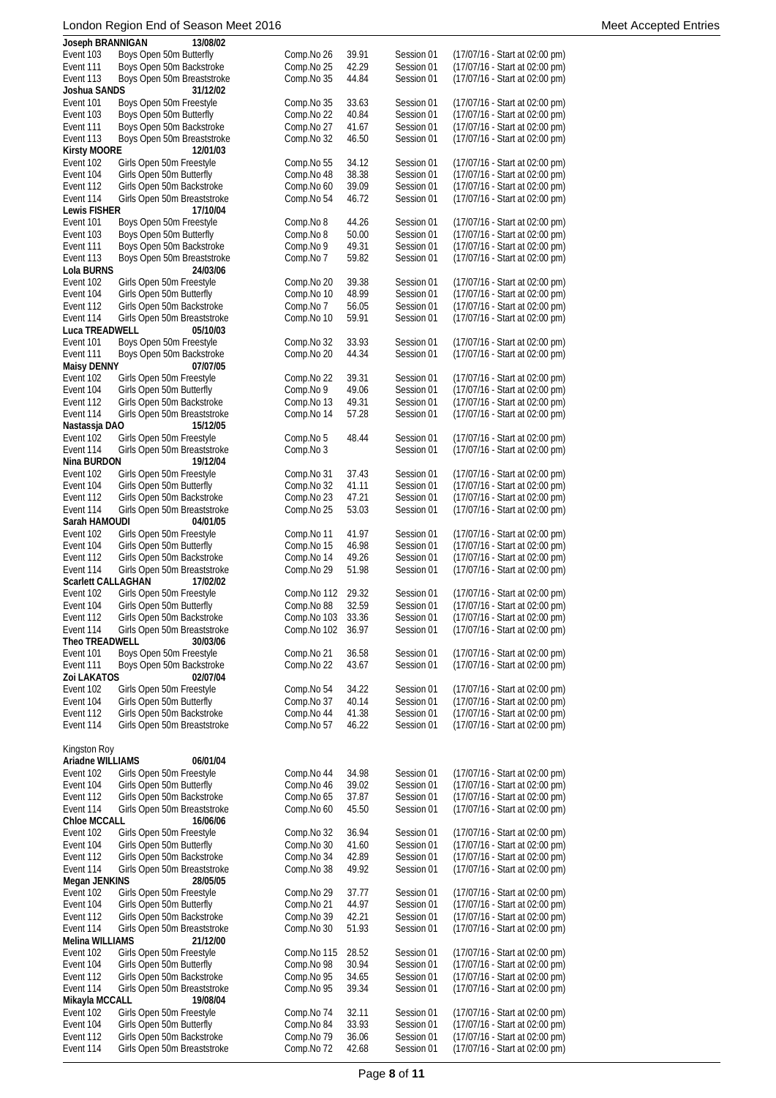| Joseph BRANNIGAN          | 13/08/02                                                 |                          |                |                          |                                                                  |
|---------------------------|----------------------------------------------------------|--------------------------|----------------|--------------------------|------------------------------------------------------------------|
| Event 103                 | Boys Open 50m Butterfly                                  | Comp.No 26               | 39.91          | Session 01               | (17/07/16 - Start at 02:00 pm)                                   |
| Event 111                 | Boys Open 50m Backstroke                                 | Comp.No 25               | 42.29          | Session 01               | (17/07/16 - Start at 02:00 pm)                                   |
| Event 113                 | Boys Open 50m Breaststroke                               | Comp.No 35               | 44.84          | Session 01               | (17/07/16 - Start at 02:00 pm)                                   |
| Joshua SANDS              | 31/12/02                                                 |                          |                |                          |                                                                  |
| Event 101                 | Boys Open 50m Freestyle                                  | Comp.No 35               | 33.63          | Session 01               | (17/07/16 - Start at 02:00 pm)                                   |
| Event 103                 | Boys Open 50m Butterfly                                  | Comp.No 22               | 40.84          | Session 01               | (17/07/16 - Start at 02:00 pm)                                   |
| Event 111                 | Boys Open 50m Backstroke                                 | Comp.No 27               | 41.67          | Session 01               | (17/07/16 - Start at 02:00 pm)                                   |
| Event 113                 | Boys Open 50m Breaststroke                               | Comp.No 32               | 46.50          | Session 01               | (17/07/16 - Start at 02:00 pm)                                   |
| <b>Kirsty MOORE</b>       | 12/01/03                                                 |                          |                |                          |                                                                  |
| Event 102                 | Girls Open 50m Freestyle                                 | Comp.No 55               | 34.12          | Session 01               | (17/07/16 - Start at 02:00 pm)                                   |
| Event 104<br>Event 112    | Girls Open 50m Butterfly                                 | Comp.No 48               | 38.38<br>39.09 | Session 01               | (17/07/16 - Start at 02:00 pm)<br>(17/07/16 - Start at 02:00 pm) |
|                           | Girls Open 50m Backstroke                                | Comp.No 60               |                | Session 01               |                                                                  |
| Event 114<br>Lewis FISHER | Girls Open 50m Breaststroke<br>17/10/04                  | Comp.No 54               | 46.72          | Session 01               | (17/07/16 - Start at 02:00 pm)                                   |
| Event 101                 | Boys Open 50m Freestyle                                  | Comp.No 8                | 44.26          | Session 01               | (17/07/16 - Start at 02:00 pm)                                   |
| Event 103                 | Boys Open 50m Butterfly                                  | Comp.No 8                | 50.00          | Session 01               | (17/07/16 - Start at 02:00 pm)                                   |
| Event 111                 | Boys Open 50m Backstroke                                 | Comp.No 9                | 49.31          | Session 01               | (17/07/16 - Start at 02:00 pm)                                   |
| Event 113                 | Boys Open 50m Breaststroke                               | Comp.No 7                | 59.82          | Session 01               | (17/07/16 - Start at 02:00 pm)                                   |
| Lola BURNS                | 24/03/06                                                 |                          |                |                          |                                                                  |
| Event 102                 | Girls Open 50m Freestyle                                 | Comp.No 20               | 39.38          | Session 01               | (17/07/16 - Start at 02:00 pm)                                   |
| Event 104                 | Girls Open 50m Butterfly                                 | Comp.No 10               | 48.99          | Session 01               | (17/07/16 - Start at 02:00 pm)                                   |
| Event 112                 | Girls Open 50m Backstroke                                | Comp.No 7                | 56.05          | Session 01               | (17/07/16 - Start at 02:00 pm)                                   |
| Event 114                 | Girls Open 50m Breaststroke                              | Comp.No 10               | 59.91          | Session 01               | (17/07/16 - Start at 02:00 pm)                                   |
| <b>Luca TREADWELL</b>     | 05/10/03                                                 |                          |                |                          |                                                                  |
| Event 101                 | Boys Open 50m Freestyle                                  | Comp.No 32               | 33.93          | Session 01               | (17/07/16 - Start at 02:00 pm)                                   |
| Event 111                 | Boys Open 50m Backstroke                                 | Comp.No 20               | 44.34          | Session 01               | (17/07/16 - Start at 02:00 pm)                                   |
| <b>Maisy DENNY</b>        | 07/07/05                                                 |                          |                |                          |                                                                  |
| Event 102                 | Girls Open 50m Freestyle                                 | Comp.No 22               | 39.31          | Session 01               | (17/07/16 - Start at 02:00 pm)                                   |
| Event 104                 | Girls Open 50m Butterfly                                 | Comp.No 9                | 49.06          | Session 01               | (17/07/16 - Start at 02:00 pm)                                   |
| Event 112                 | Girls Open 50m Backstroke                                | Comp.No 13               | 49.31          | Session 01               | (17/07/16 - Start at 02:00 pm)                                   |
| Event 114                 | Girls Open 50m Breaststroke                              | Comp.No 14               | 57.28          | Session 01               | (17/07/16 - Start at 02:00 pm)                                   |
| Nastassja DAO             | 15/12/05                                                 |                          |                |                          |                                                                  |
| Event 102                 | Girls Open 50m Freestyle                                 | Comp.No 5                | 48.44          | Session 01               | (17/07/16 - Start at 02:00 pm)                                   |
| Event 114                 | Girls Open 50m Breaststroke                              | Comp.No 3                |                | Session 01               | (17/07/16 - Start at 02:00 pm)                                   |
| Nina BURDON               | 19/12/04                                                 |                          |                |                          |                                                                  |
| Event 102                 | Girls Open 50m Freestyle                                 | Comp.No 31               | 37.43          | Session 01               | (17/07/16 - Start at 02:00 pm)                                   |
| Event 104                 | Girls Open 50m Butterfly                                 | Comp.No 32               | 41.11          | Session 01               | (17/07/16 - Start at 02:00 pm)                                   |
| Event 112                 | Girls Open 50m Backstroke                                | Comp.No 23               | 47.21          | Session 01               | (17/07/16 - Start at 02:00 pm)                                   |
| Event 114                 | Girls Open 50m Breaststroke                              | Comp.No 25               | 53.03          | Session 01               | (17/07/16 - Start at 02:00 pm)                                   |
| Sarah HAMOUDI             | 04/01/05                                                 |                          |                |                          |                                                                  |
| Event 102                 | Girls Open 50m Freestyle                                 | Comp.No 11               | 41.97          | Session 01               | (17/07/16 - Start at 02:00 pm)                                   |
| Event 104<br>Event 112    | Girls Open 50m Butterfly                                 | Comp.No 15               | 46.98<br>49.26 | Session 01<br>Session 01 | (17/07/16 - Start at 02:00 pm)<br>(17/07/16 - Start at 02:00 pm) |
| Event 114                 | Girls Open 50m Backstroke<br>Girls Open 50m Breaststroke | Comp.No 14<br>Comp.No 29 | 51.98          | Session 01               | (17/07/16 - Start at 02:00 pm)                                   |
| <b>Scarlett CALLAGHAN</b> | 17/02/02                                                 |                          |                |                          |                                                                  |
| Event 102                 | Girls Open 50m Freestyle                                 | Comp.No 112              | 29.32          | Session 01               | (17/07/16 - Start at 02:00 pm)                                   |
| Event 104                 | Girls Open 50m Butterfly                                 | Comp.No 88               | 32.59          | Session 01               | (17/07/16 - Start at 02:00 pm)                                   |
| Event 112                 | Girls Open 50m Backstroke                                | Comp.No 103              | 33.36          | Session 01               | (17/07/16 - Start at 02:00 pm)                                   |
| Event 114                 | Girls Open 50m Breaststroke                              | Comp.No 102 36.97        |                | Session 01               | (17/07/16 - Start at 02:00 pm)                                   |
| Theo TREADWELL            | 30/03/06                                                 |                          |                |                          |                                                                  |
| Event 101                 | Boys Open 50m Freestyle                                  | Comp.No 21               | 36.58          | Session 01               | (17/07/16 - Start at 02:00 pm)                                   |
| Event 111                 | Boys Open 50m Backstroke                                 | Comp.No 22               | 43.67          | Session 01               | (17/07/16 - Start at 02:00 pm)                                   |
| Zoi LAKATOS               | 02/07/04                                                 |                          |                |                          |                                                                  |
| Event 102                 | Girls Open 50m Freestyle                                 | Comp.No 54               | 34.22          | Session 01               | (17/07/16 - Start at 02:00 pm)                                   |
| Event 104                 | Girls Open 50m Butterfly                                 | Comp.No 37               | 40.14          | Session 01               | (17/07/16 - Start at 02:00 pm)                                   |
| Event 112                 | Girls Open 50m Backstroke                                | Comp.No 44               | 41.38          | Session 01               | (17/07/16 - Start at 02:00 pm)                                   |
| Event 114                 | Girls Open 50m Breaststroke                              | Comp.No 57               | 46.22          | Session 01               | (17/07/16 - Start at 02:00 pm)                                   |
|                           |                                                          |                          |                |                          |                                                                  |
| Kingston Roy              |                                                          |                          |                |                          |                                                                  |
| Ariadne WILLIAMS          | 06/01/04                                                 |                          |                |                          |                                                                  |
| Event 102                 | Girls Open 50m Freestyle                                 | Comp.No 44               | 34.98          | Session 01               | (17/07/16 - Start at 02:00 pm)                                   |
| Event 104                 | Girls Open 50m Butterfly                                 | Comp.No 46               | 39.02          | Session 01               | (17/07/16 - Start at 02:00 pm)                                   |
| Event 112                 | Girls Open 50m Backstroke                                | Comp.No 65               | 37.87          | Session 01               | (17/07/16 - Start at 02:00 pm)                                   |
| Event 114                 | Girls Open 50m Breaststroke                              | Comp.No 60               | 45.50          | Session 01               | (17/07/16 - Start at 02:00 pm)                                   |
| Chloe MCCALL              | 16/06/06                                                 |                          | 36.94          |                          |                                                                  |
| Event 102                 | Girls Open 50m Freestyle<br>Girls Open 50m Butterfly     | Comp.No 32               |                | Session 01               | (17/07/16 - Start at 02:00 pm)<br>(17/07/16 - Start at 02:00 pm) |
| Event 104<br>Event 112    | Girls Open 50m Backstroke                                | Comp.No 30<br>Comp.No 34 | 41.60<br>42.89 | Session 01<br>Session 01 | (17/07/16 - Start at 02:00 pm)                                   |
| Event 114                 | Girls Open 50m Breaststroke                              | Comp.No 38               | 49.92          | Session 01               | (17/07/16 - Start at 02:00 pm)                                   |
| <b>Megan JENKINS</b>      | 28/05/05                                                 |                          |                |                          |                                                                  |
| Event 102                 | Girls Open 50m Freestyle                                 | Comp.No 29               | 37.77          | Session 01               | (17/07/16 - Start at 02:00 pm)                                   |
| Event 104                 | Girls Open 50m Butterfly                                 | Comp.No 21               | 44.97          | Session 01               | (17/07/16 - Start at 02:00 pm)                                   |
| Event 112                 | Girls Open 50m Backstroke                                | Comp.No 39               | 42.21          | Session 01               | (17/07/16 - Start at 02:00 pm)                                   |
| Event 114                 | Girls Open 50m Breaststroke                              | Comp.No 30               | 51.93          | Session 01               | (17/07/16 - Start at 02:00 pm)                                   |
| Melina WILLIAMS           | 21/12/00                                                 |                          |                |                          |                                                                  |
| Event 102                 | Girls Open 50m Freestyle                                 | Comp.No 115              | 28.52          | Session 01               | (17/07/16 - Start at 02:00 pm)                                   |
| Event 104                 | Girls Open 50m Butterfly                                 | Comp.No 98               | 30.94          | Session 01               | (17/07/16 - Start at 02:00 pm)                                   |
| Event 112                 | Girls Open 50m Backstroke                                | Comp.No 95               | 34.65          | Session 01               | (17/07/16 - Start at 02:00 pm)                                   |
| Event 114                 | Girls Open 50m Breaststroke                              | Comp.No 95               | 39.34          | Session 01               | (17/07/16 - Start at 02:00 pm)                                   |
| Mikayla MCCALL            | 19/08/04                                                 |                          |                |                          |                                                                  |
| Event 102                 | Girls Open 50m Freestyle                                 | Comp.No 74               | 32.11          | Session 01               | (17/07/16 - Start at 02:00 pm)                                   |
| Event 104                 | Girls Open 50m Butterfly                                 | Comp.No 84               | 33.93          | Session 01               | (17/07/16 - Start at 02:00 pm)                                   |
| Event 112                 | Girls Open 50m Backstroke                                | Comp.No 79               | 36.06          | Session 01               | (17/07/16 - Start at 02:00 pm)                                   |
| Event 114                 | Girls Open 50m Breaststroke                              | Comp.No 72               | 42.68          | Session 01               | (17/07/16 - Start at 02:00 pm)                                   |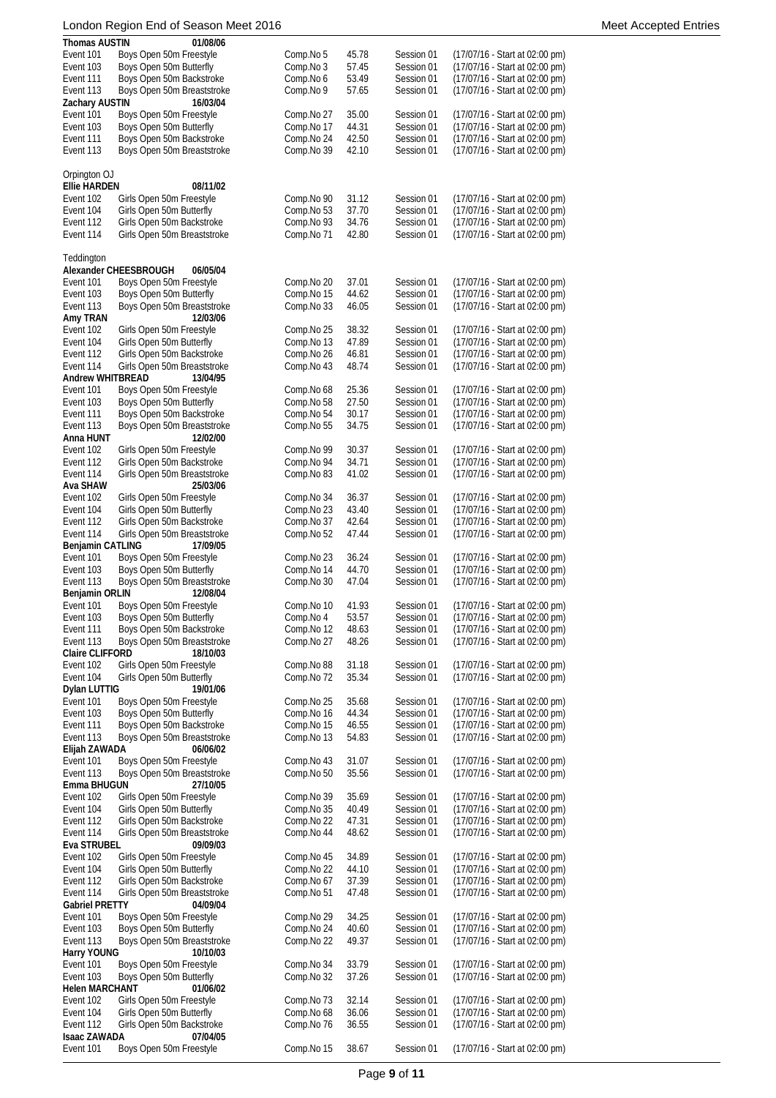| Thomas AUSTIN                 | 01/08/06                                           |                         |       |            |                                  |  |
|-------------------------------|----------------------------------------------------|-------------------------|-------|------------|----------------------------------|--|
| Event 101                     | Boys Open 50m Freestyle                            | Comp.No 5               | 45.78 | Session 01 | (17/07/16 - Start at 02:00 pm)   |  |
| Event 103                     | Boys Open 50m Butterfly                            | Comp.No 3               | 57.45 | Session 01 | (17/07/16 - Start at 02:00 pm)   |  |
| Event 111                     | Boys Open 50m Backstroke                           | Comp.No 6               | 53.49 | Session 01 | (17/07/16 - Start at 02:00 pm)   |  |
| Event 113                     | Boys Open 50m Breaststroke                         | Comp.No 9               | 57.65 | Session 01 | (17/07/16 - Start at 02:00 pm)   |  |
| <b>Zachary AUSTIN</b>         | 16/03/04                                           |                         |       |            |                                  |  |
| Event 101                     | Boys Open 50m Freestyle                            | Comp.No 27              | 35.00 | Session 01 | (17/07/16 - Start at 02:00 pm)   |  |
| Event 103                     | Boys Open 50m Butterfly                            | Comp.No 17              | 44.31 | Session 01 | (17/07/16 - Start at 02:00 pm)   |  |
| Event 111                     | Boys Open 50m Backstroke                           | Comp.No 24              | 42.50 | Session 01 | (17/07/16 - Start at 02:00 pm)   |  |
| Event 113                     | Boys Open 50m Breaststroke                         | Comp.No 39              | 42.10 | Session 01 | (17/07/16 - Start at 02:00 pm)   |  |
|                               |                                                    |                         |       |            |                                  |  |
| Orpington OJ                  |                                                    |                         |       |            |                                  |  |
| <b>Ellie HARDEN</b>           | 08/11/02                                           |                         |       |            |                                  |  |
| Event 102                     | Girls Open 50m Freestyle                           | Comp.No 90              | 31.12 | Session 01 | (17/07/16 - Start at 02:00 pm)   |  |
| Event 104                     | Girls Open 50m Butterfly                           | Comp.No 53              | 37.70 | Session 01 | (17/07/16 - Start at 02:00 pm)   |  |
| Event 112                     | Girls Open 50m Backstroke                          | Comp.No 93              | 34.76 | Session 01 | (17/07/16 - Start at 02:00 pm)   |  |
| Event 114                     | Girls Open 50m Breaststroke                        | Comp.No 71              | 42.80 | Session 01 | (17/07/16 - Start at 02:00 pm)   |  |
|                               |                                                    |                         |       |            |                                  |  |
| Teddington                    |                                                    |                         |       |            |                                  |  |
|                               | Alexander CHEESBROUGH<br>06/05/04                  |                         |       |            |                                  |  |
| Event 101                     | Boys Open 50m Freestyle                            | Comp.No 20              | 37.01 | Session 01 | (17/07/16 - Start at 02:00 pm)   |  |
| Event 103                     | Boys Open 50m Butterfly                            | Comp.No 15              | 44.62 | Session 01 | (17/07/16 - Start at 02:00 pm)   |  |
| Event 113                     | Boys Open 50m Breaststroke                         | Comp.No 33              | 46.05 | Session 01 | (17/07/16 - Start at 02:00 pm)   |  |
| Amy TRAN                      | 12/03/06                                           |                         |       |            |                                  |  |
| Event 102                     | Girls Open 50m Freestyle                           | Comp.No 25              | 38.32 | Session 01 | (17/07/16 - Start at 02:00 pm)   |  |
| Event 104                     | Girls Open 50m Butterfly                           | Comp.No 13              | 47.89 | Session 01 | (17/07/16 - Start at 02:00 pm)   |  |
| Event 112                     | Girls Open 50m Backstroke                          | Comp.No 26              | 46.81 | Session 01 | (17/07/16 - Start at 02:00 pm)   |  |
| Event 114                     | Girls Open 50m Breaststroke                        | Comp.No 43              | 48.74 | Session 01 | (17/07/16 - Start at 02:00 pm)   |  |
| <b>Andrew WHITBREAD</b>       | 13/04/95                                           |                         |       |            |                                  |  |
| Event 101                     | Boys Open 50m Freestyle                            | Comp.No 68              | 25.36 | Session 01 | (17/07/16 - Start at 02:00 pm)   |  |
| Event 103                     | Boys Open 50m Butterfly                            | Comp.No 58              | 27.50 | Session 01 | (17/07/16 - Start at 02:00 pm)   |  |
| Event 111                     | Boys Open 50m Backstroke                           | Comp.No 54              | 30.17 | Session 01 | (17/07/16 - Start at 02:00 pm)   |  |
| Event 113                     | Boys Open 50m Breaststroke                         | Comp.No 55              | 34.75 | Session 01 | (17/07/16 - Start at 02:00 pm)   |  |
| Anna HUNT                     | 12/02/00                                           |                         |       |            |                                  |  |
| Event 102                     | Girls Open 50m Freestyle                           | Comp.No 99              | 30.37 | Session 01 | (17/07/16 - Start at 02:00 pm)   |  |
| Event 112                     | Girls Open 50m Backstroke                          | Comp.No 94              | 34.71 | Session 01 | (17/07/16 - Start at 02:00 pm)   |  |
| Event 114                     | Girls Open 50m Breaststroke                        | Comp.No 83              | 41.02 | Session 01 | (17/07/16 - Start at 02:00 pm)   |  |
| Ava SHAW                      | 25/03/06                                           |                         |       |            |                                  |  |
| Event 102                     | Girls Open 50m Freestyle                           | Comp.No 34              | 36.37 | Session 01 | (17/07/16 - Start at 02:00 pm)   |  |
| Event 104                     | Girls Open 50m Butterfly                           | Comp.No 23              | 43.40 | Session 01 | (17/07/16 - Start at 02:00 pm)   |  |
| Event 112                     | Girls Open 50m Backstroke                          | Comp.No 37              | 42.64 | Session 01 | (17/07/16 - Start at 02:00 pm)   |  |
|                               | Girls Open 50m Breaststroke                        | Comp.No 52              | 47.44 | Session 01 |                                  |  |
| Event 114<br>Benjamin CATLING | 17/09/05                                           |                         |       |            | $(17/07/16 - Start at 02:00 pm)$ |  |
|                               | Boys Open 50m Freestyle                            | Comp.No 23              | 36.24 | Session 01 | (17/07/16 - Start at 02:00 pm)   |  |
| Event 101                     | Boys Open 50m Butterfly                            | Comp.No 14              |       | Session 01 | (17/07/16 - Start at 02:00 pm)   |  |
| Event 103                     | Boys Open 50m Breaststroke                         |                         | 44.70 |            | (17/07/16 - Start at 02:00 pm)   |  |
| Event 113                     |                                                    | Comp.No 30              | 47.04 | Session 01 |                                  |  |
| Benjamin ORLIN                | 12/08/04                                           |                         |       |            |                                  |  |
| Event 101                     | Boys Open 50m Freestyle<br>Boys Open 50m Butterfly | Comp.No 10<br>Comp.No 4 | 41.93 | Session 01 | (17/07/16 - Start at 02:00 pm)   |  |
| Event 103                     |                                                    | Comp.No 12              | 53.57 | Session 01 | (17/07/16 - Start at 02:00 pm)   |  |
| Event 111                     | Boys Open 50m Backstroke                           |                         | 48.63 | Session 01 | (17/07/16 - Start at 02:00 pm)   |  |
| Event 113                     | Boys Open 50m Breaststroke                         | Comp.No 27              | 48.26 | Session 01 | (17/07/16 - Start at 02:00 pm)   |  |
| <b>Claire CLIFFORD</b>        | 18/10/03                                           |                         |       |            |                                  |  |
| Event 102                     | Girls Open 50m Freestyle                           | Comp.No 88              | 31.18 | Session 01 | (17/07/16 - Start at 02:00 pm)   |  |
| Event 104                     | Girls Open 50m Butterfly                           | Comp.No 72              | 35.34 | Session 01 | (17/07/16 - Start at 02:00 pm)   |  |
| <b>Dylan LUTTIG</b>           | 19/01/06                                           |                         |       |            |                                  |  |
| Event 101                     | Boys Open 50m Freestyle                            | Comp.No 25              | 35.68 | Session 01 | (17/07/16 - Start at 02:00 pm)   |  |
| Event 103                     | Boys Open 50m Butterfly                            | Comp.No 16              | 44.34 | Session 01 | (17/07/16 - Start at 02:00 pm)   |  |
| Event 111                     | Boys Open 50m Backstroke                           | Comp.No 15              | 46.55 | Session 01 | (17/07/16 - Start at 02:00 pm)   |  |
| Event 113                     | Boys Open 50m Breaststroke                         | Comp.No 13              | 54.83 | Session 01 | (17/07/16 - Start at 02:00 pm)   |  |
| Elijah ZAWADA                 | 06/06/02                                           |                         |       |            |                                  |  |
| Event 101                     | Boys Open 50m Freestyle                            | Comp.No 43              | 31.07 | Session 01 | (17/07/16 - Start at 02:00 pm)   |  |
| Event 113                     | Boys Open 50m Breaststroke                         | Comp.No 50              | 35.56 | Session 01 | (17/07/16 - Start at 02:00 pm)   |  |
| Emma BHUGUN                   | 27/10/05                                           |                         |       |            |                                  |  |
| Event 102                     | Girls Open 50m Freestyle                           | Comp.No 39              | 35.69 | Session 01 | $(17/07/16 - Start at 02:00 pm)$ |  |
| Event 104                     | Girls Open 50m Butterfly                           | Comp.No 35              | 40.49 | Session 01 | (17/07/16 - Start at 02:00 pm)   |  |
| Event 112                     | Girls Open 50m Backstroke                          | Comp.No 22              | 47.31 | Session 01 | $(17/07/16 - Start at 02:00 pm)$ |  |
| Event 114                     | Girls Open 50m Breaststroke                        | Comp.No 44              | 48.62 | Session 01 | (17/07/16 - Start at 02:00 pm)   |  |
| Eva STRUBEL                   | 09/09/03                                           |                         |       |            |                                  |  |
| Event 102                     | Girls Open 50m Freestyle                           | Comp.No 45              | 34.89 | Session 01 | (17/07/16 - Start at 02:00 pm)   |  |
| Event 104                     | Girls Open 50m Butterfly                           | Comp.No 22              | 44.10 | Session 01 | (17/07/16 - Start at 02:00 pm)   |  |
| Event 112                     | Girls Open 50m Backstroke                          | Comp.No 67              | 37.39 | Session 01 | (17/07/16 - Start at 02:00 pm)   |  |
| Event 114                     | Girls Open 50m Breaststroke                        | Comp.No 51              | 47.48 | Session 01 | (17/07/16 - Start at 02:00 pm)   |  |
| <b>Gabriel PRETTY</b>         | 04/09/04                                           |                         |       |            |                                  |  |
| Event 101                     | Boys Open 50m Freestyle                            | Comp.No 29              | 34.25 | Session 01 | (17/07/16 - Start at 02:00 pm)   |  |
| Event 103                     | Boys Open 50m Butterfly                            | Comp.No 24              | 40.60 | Session 01 | (17/07/16 - Start at 02:00 pm)   |  |
| Event 113                     | Boys Open 50m Breaststroke                         | Comp.No 22              | 49.37 | Session 01 | (17/07/16 - Start at 02:00 pm)   |  |
| <b>Harry YOUNG</b>            | 10/10/03                                           |                         |       |            |                                  |  |
| Event 101                     | Boys Open 50m Freestyle                            | Comp.No 34              | 33.79 | Session 01 | (17/07/16 - Start at 02:00 pm)   |  |
| Event 103                     | Boys Open 50m Butterfly                            | Comp.No 32              | 37.26 | Session 01 | (17/07/16 - Start at 02:00 pm)   |  |
| <b>Helen MARCHANT</b>         | 01/06/02                                           |                         |       |            |                                  |  |
| Event 102                     | Girls Open 50m Freestyle                           | Comp.No 73              | 32.14 | Session 01 | $(17/07/16 - Start at 02:00 pm)$ |  |
| Event 104                     | Girls Open 50m Butterfly                           | Comp.No 68              | 36.06 | Session 01 | (17/07/16 - Start at 02:00 pm)   |  |
| Event 112                     | Girls Open 50m Backstroke                          | Comp.No 76              | 36.55 | Session 01 | (17/07/16 - Start at 02:00 pm)   |  |
| <b>Isaac ZAWADA</b>           | 07/04/05                                           |                         |       |            |                                  |  |
| Event 101                     | Boys Open 50m Freestyle                            | Comp.No 15              | 38.67 | Session 01 | (17/07/16 - Start at 02:00 pm)   |  |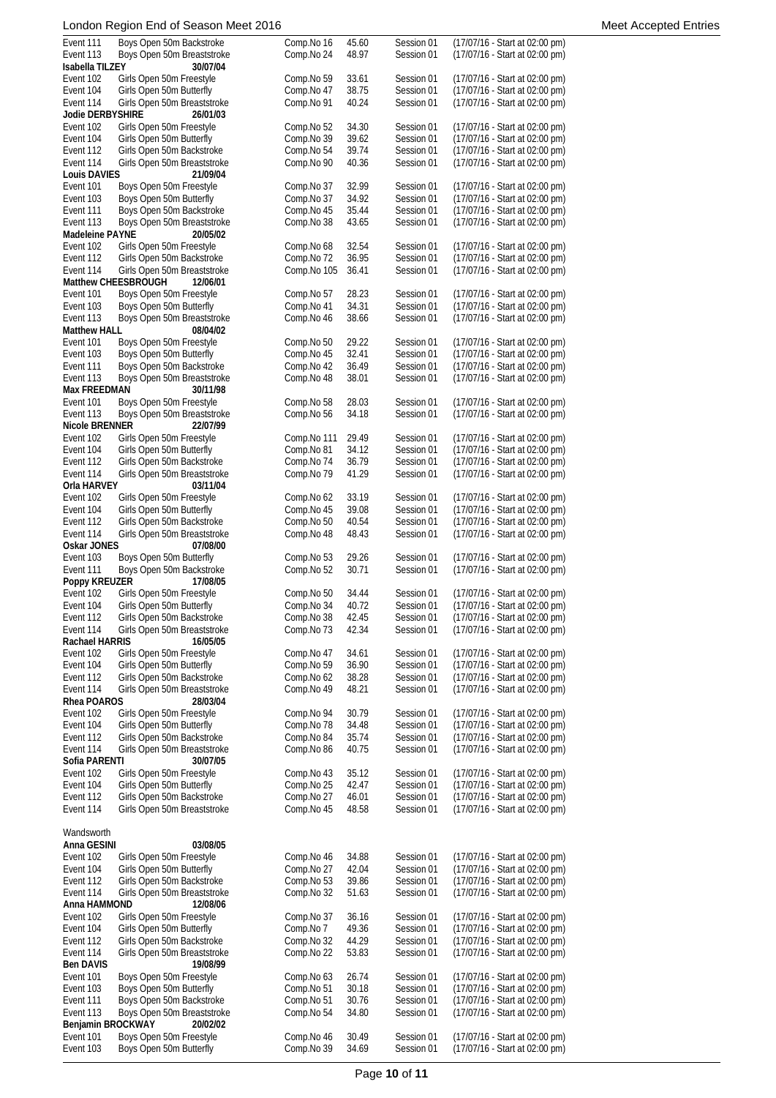|                        | Boys Open 50m Backstroke                           | Comp.No 16               | 45.60          | Session 01               | (17/07/16 - Start at 02:00 pm)                                   |
|------------------------|----------------------------------------------------|--------------------------|----------------|--------------------------|------------------------------------------------------------------|
| Event 113              | Boys Open 50m Breaststroke                         | Comp.No 24               | 48.97          | Session 01               | (17/07/16 - Start at 02:00 pm)                                   |
| Isabella TILZEY        | 30/07/04                                           |                          |                |                          |                                                                  |
| Event 102              | Girls Open 50m Freestyle                           | Comp.No 59               | 33.61          | Session 01               | (17/07/16 - Start at 02:00 pm)                                   |
| Event 104              | Girls Open 50m Butterfly                           | Comp.No 47               | 38.75          | Session 01               | (17/07/16 - Start at 02:00 pm)                                   |
| Event 114              | Girls Open 50m Breaststroke                        | Comp.No 91               | 40.24          | Session 01               | (17/07/16 - Start at 02:00 pm)                                   |
| Jodie DERBYSHIRE       | 26/01/03                                           |                          |                |                          |                                                                  |
| Event 102              | Girls Open 50m Freestyle                           | Comp.No 52               | 34.30          | Session 01               | (17/07/16 - Start at 02:00 pm)                                   |
| Event 104              | Girls Open 50m Butterfly                           | Comp.No 39               | 39.62          | Session 01               | (17/07/16 - Start at 02:00 pm)                                   |
| Event 112              | Girls Open 50m Backstroke                          | Comp.No 54               | 39.74          | Session 01               | (17/07/16 - Start at 02:00 pm)                                   |
| Event 114              | Girls Open 50m Breaststroke                        | Comp.No 90               | 40.36          | Session 01               | (17/07/16 - Start at 02:00 pm)                                   |
| <b>Louis DAVIES</b>    | 21/09/04                                           |                          |                |                          |                                                                  |
| Event 101              | Boys Open 50m Freestyle                            | Comp.No 37               | 32.99          | Session 01               | (17/07/16 - Start at 02:00 pm)                                   |
| Event 103              | Boys Open 50m Butterfly                            | Comp.No 37               | 34.92          | Session 01               | (17/07/16 - Start at 02:00 pm)                                   |
| Event 111              | Boys Open 50m Backstroke                           | Comp.No 45               | 35.44          | Session 01               | (17/07/16 - Start at 02:00 pm)                                   |
| Event 113              | Boys Open 50m Breaststroke                         | Comp.No 38               | 43.65          | Session 01               | (17/07/16 - Start at 02:00 pm)                                   |
| Madeleine PAYNE        | 20/05/02                                           |                          |                |                          |                                                                  |
| Event 102              | Girls Open 50m Freestyle                           | Comp.No 68               | 32.54          | Session 01               | (17/07/16 - Start at 02:00 pm)                                   |
| Event 112              | Girls Open 50m Backstroke                          | Comp.No 72               | 36.95          | Session 01               | (17/07/16 - Start at 02:00 pm)                                   |
| Event 114              | Girls Open 50m Breaststroke                        | Comp.No 105              | 36.41          | Session 01               | (17/07/16 - Start at 02:00 pm)                                   |
| Matthew CHEESBROUGH    | 12/06/01                                           |                          |                |                          |                                                                  |
| Event 101              | Boys Open 50m Freestyle                            | Comp.No 57               | 28.23          | Session 01               | (17/07/16 - Start at 02:00 pm)                                   |
| Event 103              | Boys Open 50m Butterfly                            | Comp.No 41               | 34.31          | Session 01               | (17/07/16 - Start at 02:00 pm)                                   |
| Event 113              | Boys Open 50m Breaststroke                         | Comp.No 46               | 38.66          | Session 01               | (17/07/16 - Start at 02:00 pm)                                   |
| <b>Matthew HALL</b>    | 08/04/02                                           |                          |                |                          |                                                                  |
| Event 101              | Boys Open 50m Freestyle                            | Comp.No 50               | 29.22          | Session 01               | (17/07/16 - Start at 02:00 pm)                                   |
| Event 103              | Boys Open 50m Butterfly                            | Comp.No 45               | 32.41          | Session 01               | (17/07/16 - Start at 02:00 pm)                                   |
| Event 111              | Boys Open 50m Backstroke                           | Comp.No 42               | 36.49          | Session 01               | (17/07/16 - Start at 02:00 pm)                                   |
|                        |                                                    |                          |                |                          |                                                                  |
| Event 113              | Boys Open 50m Breaststroke                         | Comp.No 48               | 38.01          | Session 01               | (17/07/16 - Start at 02:00 pm)                                   |
| Max FREEDMAN           | 30/11/98                                           |                          |                |                          |                                                                  |
| Event 101              | Boys Open 50m Freestyle                            | Comp.No 58               | 28.03          | Session 01               | (17/07/16 - Start at 02:00 pm)                                   |
| Event 113              | Boys Open 50m Breaststroke                         | Comp.No 56               | 34.18          | Session 01               | (17/07/16 - Start at 02:00 pm)                                   |
| Nicole BRENNER         | 22/07/99                                           |                          |                |                          |                                                                  |
| Event 102              | Girls Open 50m Freestyle                           | Comp.No 111              | 29.49          | Session 01               | (17/07/16 - Start at 02:00 pm)                                   |
| Event 104              | Girls Open 50m Butterfly                           | Comp.No 81               | 34.12          | Session 01               | (17/07/16 - Start at 02:00 pm)                                   |
| Event 112              | Girls Open 50m Backstroke                          | Comp.No 74               | 36.79          | Session 01               | (17/07/16 - Start at 02:00 pm)                                   |
| Event 114              | Girls Open 50m Breaststroke                        | Comp.No 79               | 41.29          | Session 01               | (17/07/16 - Start at 02:00 pm)                                   |
| Orla HARVEY            | 03/11/04                                           |                          |                |                          |                                                                  |
| Event 102              | Girls Open 50m Freestyle                           | Comp.No 62               | 33.19          | Session 01               | (17/07/16 - Start at 02:00 pm)                                   |
| Event 104              | Girls Open 50m Butterfly                           | Comp.No 45               | 39.08          | Session 01               | (17/07/16 - Start at 02:00 pm)                                   |
| Event 112              | Girls Open 50m Backstroke                          | Comp.No 50               | 40.54          | Session 01               | (17/07/16 - Start at 02:00 pm)                                   |
| Event 114              | Girls Open 50m Breaststroke                        | Comp.No 48               | 48.43          | Session 01               | (17/07/16 - Start at 02:00 pm)                                   |
| Oskar JONES            | 07/08/00                                           |                          |                |                          |                                                                  |
| Event 103              | Boys Open 50m Butterfly                            | Comp.No 53               | 29.26          | Session 01               | (17/07/16 - Start at 02:00 pm)                                   |
| Event 111              | Boys Open 50m Backstroke                           | Comp.No 52               | 30.71          | Session 01               | (17/07/16 - Start at 02:00 pm)                                   |
| Poppy KREUZER          | 17/08/05                                           |                          |                |                          |                                                                  |
| Event 102              | Girls Open 50m Freestyle                           | Comp.No 50               | 34.44          | Session 01               | (17/07/16 - Start at 02:00 pm)                                   |
| Event 104              | Girls Open 50m Butterfly                           | Comp.No 34               | 40.72          | Session 01               | (17/07/16 - Start at 02:00 pm)                                   |
| Event 112              | Girls Open 50m Backstroke                          | Comp.No 38               | 42.45          | Session 01               | (17/07/16 - Start at 02:00 pm)                                   |
| Event 114              | Girls Open 50m Breaststroke                        | Comp.No 73               | 42.34          | Session 01               | (17/07/16 - Start at 02:00 pm)                                   |
| Rachael HARRIS         | 16/05/05                                           |                          |                |                          |                                                                  |
| Event 102              | Girls Open 50m Freestyle                           |                          |                |                          |                                                                  |
|                        |                                                    | Comp.No 47               |                |                          |                                                                  |
|                        |                                                    |                          | 34.61          | Session 01               | (17/07/16 - Start at 02:00 pm)                                   |
| Event 104              | Girls Open 50m Butterfly                           | Comp.No 59               | 36.90          | Session 01               | (17/07/16 - Start at 02:00 pm)                                   |
| Event 112              | Girls Open 50m Backstroke                          | Comp.No 62               | 38.28          | Session 01               | (17/07/16 - Start at 02:00 pm)                                   |
| Event 114              | Girls Open 50m Breaststroke                        | Comp.No 49               | 48.21          | Session 01               | (17/07/16 - Start at 02:00 pm)                                   |
| Rhea POAROS            | 28/03/04                                           |                          |                |                          |                                                                  |
| Event 102              | Girls Open 50m Freestyle                           | Comp.No 94               | 30.79          | Session 01               | (17/07/16 - Start at 02:00 pm)                                   |
| Event 104              | Girls Open 50m Butterfly                           | Comp.No 78               | 34.48          | Session 01               | (17/07/16 - Start at 02:00 pm)                                   |
| Event 112              | Girls Open 50m Backstroke                          | Comp.No 84               | 35.74          | Session 01               | (17/07/16 - Start at 02:00 pm)                                   |
| Event 114              | Girls Open 50m Breaststroke                        | Comp.No 86               | 40.75          | Session 01               | (17/07/16 - Start at 02:00 pm)                                   |
| Sofia PARENTI          | 30/07/05                                           |                          |                |                          |                                                                  |
| Event 102              | Girls Open 50m Freestyle                           | Comp.No 43               | 35.12          | Session 01               | (17/07/16 - Start at 02:00 pm)                                   |
| Event 104              | Girls Open 50m Butterfly                           | Comp.No 25               | 42.47          | Session 01               | (17/07/16 - Start at 02:00 pm)                                   |
| Event 112              | Girls Open 50m Backstroke                          | Comp.No 27               | 46.01          | Session 01               | (17/07/16 - Start at 02:00 pm)                                   |
| Event 114              | Girls Open 50m Breaststroke                        | Comp.No 45               | 48.58          | Session 01               | (17/07/16 - Start at 02:00 pm)                                   |
|                        |                                                    |                          |                |                          |                                                                  |
| Wandsworth             |                                                    |                          |                |                          |                                                                  |
| Anna GESINI            | 03/08/05                                           |                          |                |                          |                                                                  |
| Event 102              | Girls Open 50m Freestyle                           | Comp.No 46               | 34.88          | Session 01               | (17/07/16 - Start at 02:00 pm)                                   |
| Event 104              | Girls Open 50m Butterfly                           | Comp.No 27               | 42.04          | Session 01               | (17/07/16 - Start at 02:00 pm)                                   |
| Event 112              | Girls Open 50m Backstroke                          | Comp.No 53               | 39.86          | Session 01               | (17/07/16 - Start at 02:00 pm)                                   |
| Event 114              | Girls Open 50m Breaststroke                        | Comp.No 32               | 51.63          | Session 01               | (17/07/16 - Start at 02:00 pm)                                   |
| Anna HAMMOND           | 12/08/06                                           |                          |                |                          |                                                                  |
| Event 102              | Girls Open 50m Freestyle                           | Comp.No 37               | 36.16          | Session 01               | (17/07/16 - Start at 02:00 pm)                                   |
| Event 104              | Girls Open 50m Butterfly                           | Comp.No 7                | 49.36          | Session 01               | (17/07/16 - Start at 02:00 pm)                                   |
| Event 112              | Girls Open 50m Backstroke                          | Comp.No 32               | 44.29          | Session 01               | (17/07/16 - Start at 02:00 pm)                                   |
| Event 114              | Girls Open 50m Breaststroke                        | Comp.No 22               | 53.83          | Session 01               | (17/07/16 - Start at 02:00 pm)                                   |
| <b>Ben DAVIS</b>       | 19/08/99                                           |                          |                |                          |                                                                  |
| Event 101              | Boys Open 50m Freestyle                            | Comp.No 63               | 26.74          | Session 01               | (17/07/16 - Start at 02:00 pm)                                   |
| Event 103              | Boys Open 50m Butterfly                            | Comp.No 51               | 30.18          | Session 01               | (17/07/16 - Start at 02:00 pm)                                   |
| Event 111              | Boys Open 50m Backstroke                           | Comp.No 51               | 30.76          | Session 01               | (17/07/16 - Start at 02:00 pm)                                   |
| Event 113              | Boys Open 50m Breaststroke                         | Comp.No 54               | 34.80          | Session 01               | (17/07/16 - Start at 02:00 pm)                                   |
| Benjamin BROCKWAY      | 20/02/02                                           |                          |                |                          |                                                                  |
| Event 101<br>Event 103 | Boys Open 50m Freestyle<br>Boys Open 50m Butterfly | Comp.No 46<br>Comp.No 39 | 30.49<br>34.69 | Session 01<br>Session 01 | (17/07/16 - Start at 02:00 pm)<br>(17/07/16 - Start at 02:00 pm) |